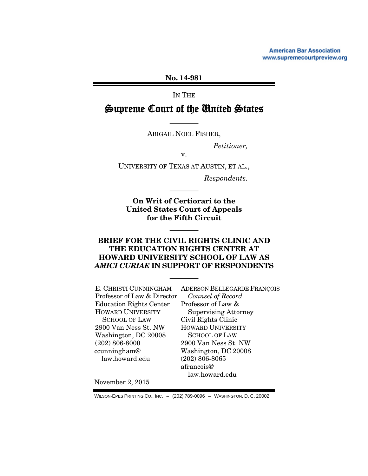**American Bar Association** www.supremecourtpreview.org

No. 14-981

IN THE

# Supreme Court of the United States

———— ABIGAIL NOEL FISHER,

*Petitioner,* 

v.

UNIVERSITY OF TEXAS AT AUSTIN, ET AL.,

*Respondents.* 

On Writ of Certiorari to the United States Court of Appeals for the Fifth Circuit

————

### BRIEF FOR THE CIVIL RIGHTS CLINIC AND THE EDUCATION RIGHTS CENTER AT HOWARD UNIVERSITY SCHOOL OF LAW AS *AMICI CURIAE* IN SUPPORT OF RESPONDENTS

————

————

E. CHRISTI CUNNINGHAM Professor of Law & Director Education Rights Center HOWARD UNIVERSITY SCHOOL OF LAW 2900 Van Ness St. NW Washington, DC 20008 (202) 806-8000 ccunningham@ law.howard.edu

ADERSON BELLEGARDE FRANÇOIS *Counsel of Record*  Professor of Law & Supervising Attorney Civil Rights Clinic HOWARD UNIVERSITY SCHOOL OF LAW 2900 Van Ness St. NW Washington, DC 20008 (202) 806-8065 afrancois@ law.howard.edu

November 2, 2015

WILSON-EPES PRINTING CO., INC. – (202) 789-0096 – WASHINGTON, D. C. 20002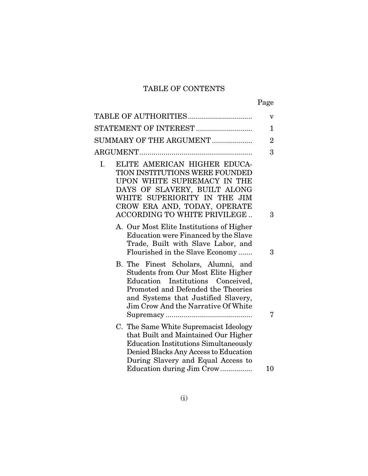# TABLE OF CONTENTS

|--|

| TABLE OF AUTHORITIES                                                                                                                                                                                                                       | v              |
|--------------------------------------------------------------------------------------------------------------------------------------------------------------------------------------------------------------------------------------------|----------------|
| STATEMENT OF INTEREST                                                                                                                                                                                                                      | 1              |
| SUMMARY OF THE ARGUMENT                                                                                                                                                                                                                    | $\overline{2}$ |
|                                                                                                                                                                                                                                            | 3              |
| ELITE AMERICAN HIGHER EDUCA-<br>I.<br>TION INSTITUTIONS WERE FOUNDED<br>UPON WHITE SUPREMACY IN THE<br>DAYS OF SLAVERY, BUILT ALONG<br>WHITE SUPERIORITY IN THE JIM<br>CROW ERA AND, TODAY, OPERATE<br>ACCORDING TO WHITE PRIVILEGE        | 3              |
| A. Our Most Elite Institutions of Higher<br>Education were Financed by the Slave<br>Trade, Built with Slave Labor, and<br>Flourished in the Slave Economy                                                                                  | 3              |
| B. The Finest Scholars, Alumni, and<br><b>Students from Our Most Elite Higher</b><br>Education Institutions Conceived,<br>Promoted and Defended the Theories<br>and Systems that Justified Slavery,<br>Jim Crow And the Narrative Of White | 7              |
| C. The Same White Supremacist Ideology<br>that Built and Maintained Our Higher<br><b>Education Institutions Simultaneously</b><br>Denied Blacks Any Access to Education<br>During Slavery and Equal Access to                              |                |
| Education during Jim Crow                                                                                                                                                                                                                  | 10             |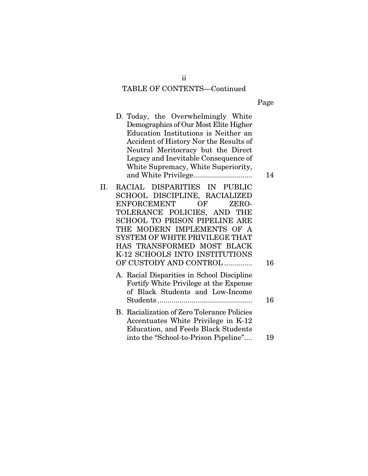#### TABLE OF CONTENTS—Continued

|--|

- D. Today, the Overwhelmingly White Demographics of Our Most Elite Higher Education Institutions is Neither an Accident of History Nor the Results of Neutral Meritocracy but the Direct Legacy and Inevitable Consequence of White Supremacy, White Superiority, and White Privilege ............................. 14
- II. RACIAL DISPARITIES IN PUBLIC SCHOOL DISCIPLINE, RACIALIZED ENFORCEMENT OF ZERO-TOLERANCE POLICIES, AND THE SCHOOL TO PRISON PIPELINE ARE THE MODERN IMPLEMENTS OF A SYSTEM OF WHITE PRIVILEGE THAT HAS TRANSFORMED MOST BLACK K-12 SCHOOLS INTO INSTITUTIONS OF CUSTODY AND CONTROL .............. 16
	- A. Racial Disparities in School Discipline Fortify White Privilege at the Expense of Black Students and Low-Income Students ............................................... 16
	- B. Racialization of Zero Tolerance Policies Accentuates White Privilege in K-12 Education, and Feeds Black Students into the "School-to-Prison Pipeline".... 19

ii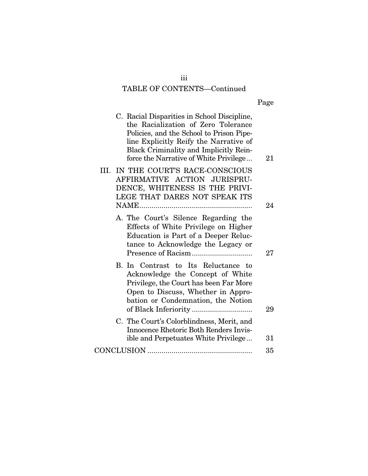# iii TABLE OF CONTENTS—Continued

|--|

| C. Racial Disparities in School Discipline,                                                                                                                                                                   |    |
|---------------------------------------------------------------------------------------------------------------------------------------------------------------------------------------------------------------|----|
| the Racialization of Zero Tolerance<br>Policies, and the School to Prison Pipe-<br>line Explicitly Reify the Narrative of<br>Black Criminality and Implicitly Rein-<br>force the Narrative of White Privilege | 21 |
| III. IN THE COURT'S RACE-CONSCIOUS<br>AFFIRMATIVE ACTION JURISPRU-<br>DENCE, WHITENESS IS THE PRIVI-<br>LEGE THAT DARES NOT SPEAK ITS                                                                         |    |
|                                                                                                                                                                                                               | 24 |
| A. The Court's Silence Regarding the<br>Effects of White Privilege on Higher<br>Education is Part of a Deeper Reluc-<br>tance to Acknowledge the Legacy or                                                    | 27 |
| B. In Contrast to Its Reluctance to<br>Acknowledge the Concept of White<br>Privilege, the Court has been Far More<br>Open to Discuss, Whether in Appro-<br>bation or Condemnation, the Notion                 |    |
|                                                                                                                                                                                                               | 29 |
| C. The Court's Colorblindness, Merit, and<br>Innocence Rhetoric Both Renders Invis-<br>ible and Perpetuates White Privilege                                                                                   | 31 |
|                                                                                                                                                                                                               | 35 |
|                                                                                                                                                                                                               |    |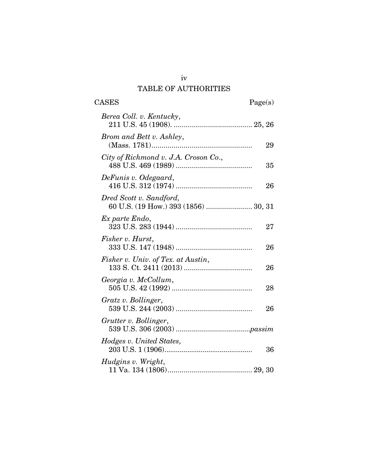# TABLE OF AUTHORITIES

| <b>CASES</b>                                                    | Page(s) |
|-----------------------------------------------------------------|---------|
| Berea Coll. v. Kentucky,                                        |         |
| Brom and Bett v. Ashley,                                        | 29      |
| City of Richmond v. J.A. Croson Co.,                            | 35      |
| DeFunis v. Odegaard,                                            | 26      |
| Dred Scott v. Sandford,<br>60 U.S. (19 How.) 393 (1856)  30, 31 |         |
| Ex parte Endo,                                                  | 27      |
| Fisher v. Hurst,                                                | 26      |
| Fisher v. Univ. of Tex. at Austin,                              | 26      |
| Georgia v. McCollum,                                            | 28      |
| Gratz v. Bollinger,                                             | 26      |
| Grutter v. Bollinger,                                           |         |
| Hodges v. United States,                                        | 36      |
| Hudgins v. Wright,                                              |         |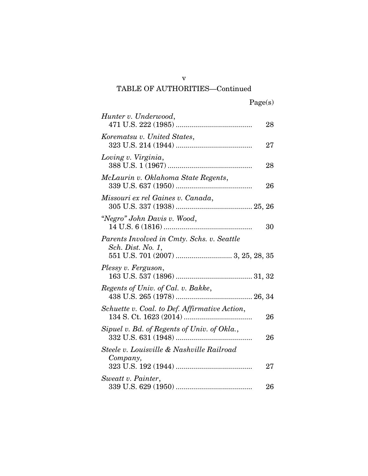| Hunter v. Underwood,                                                                                  | 28 |
|-------------------------------------------------------------------------------------------------------|----|
| Korematsu v. United States,                                                                           | 27 |
| Loving v. Virginia,                                                                                   | 28 |
| McLaurin v. Oklahoma State Regents,                                                                   | 26 |
| Missouri ex rel Gaines v. Canada,                                                                     |    |
| "Negro" John Davis v. Wood,                                                                           | 30 |
| Parents Involved in Cmty. Schs. v. Seattle<br>Sch. Dist. No. 1,<br>551 U.S. 701 (2007)  3, 25, 28, 35 |    |
| Plessy v. Ferguson,                                                                                   |    |
| Regents of Univ. of Cal. v. Bakke,                                                                    |    |
| Schuette v. Coal. to Def. Affirmative Action,                                                         | 26 |
| Sipuel v. Bd. of Regents of Univ. of Okla.,                                                           | 26 |
| Steele v. Louisville & Nashville Railroad<br>Company,                                                 |    |
|                                                                                                       | 27 |
| Sweatt v. Painter,                                                                                    | 26 |

v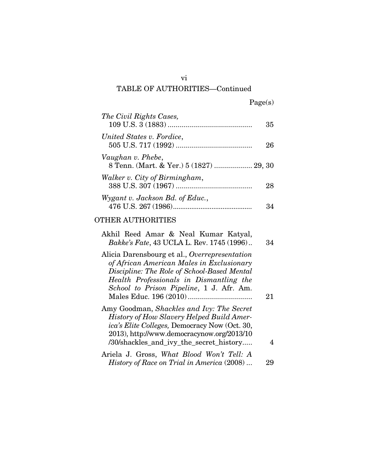| The Civil Rights Cases,                                      | 35 |
|--------------------------------------------------------------|----|
| United States v. Fordice,                                    | 26 |
| Vaughan v. Phebe,<br>8 Tenn. (Mart. & Yer.) 5 (1827)  29, 30 |    |
| Walker v. City of Birmingham,                                | 28 |
| Wygant v. Jackson Bd. of Educ.,                              |    |

### OTHER AUTHORITIES

| Akhil Reed Amar & Neal Kumar Katyal,<br><i>Bakke's Fate</i> , 43 UCLA L. Rev. 1745 (1996)                                                                                                                                               | 34 |
|-----------------------------------------------------------------------------------------------------------------------------------------------------------------------------------------------------------------------------------------|----|
| Alicia Darensbourg et al., Overrepresentation<br>of African American Males in Exclusionary<br>Discipline: The Role of School-Based Mental<br>Health Professionals in Dismantling the<br>School to Prison Pipeline, 1 J. Afr. Am.        | 21 |
| Amy Goodman, Shackles and Ivy: The Secret<br><b>History of How Slavery Helped Build Amer-</b><br>ica's Elite Colleges, Democracy Now (Oct. 30,<br>2013), http://www.democracynow.org/2013/10<br>/30/shackles_and_ivy_the_secret_history |    |
| Ariela J. Gross, What Blood Won't Tell: A<br><i>History of Race on Trial in America</i> (2008)                                                                                                                                          |    |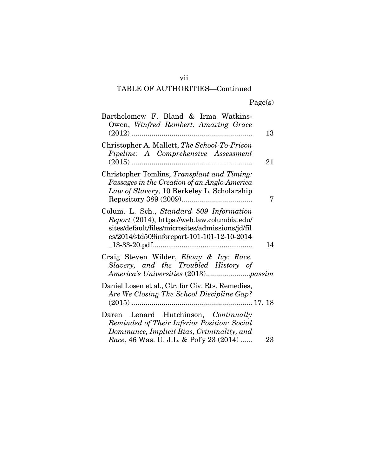| Bartholomew F. Bland & Irma Watkins-<br>Owen, Winfred Rembert: Amazing Grace<br>13                                                                                                                |
|---------------------------------------------------------------------------------------------------------------------------------------------------------------------------------------------------|
| Christopher A. Mallett, The School-To-Prison<br>Pipeline: A Comprehensive Assessment<br>21                                                                                                        |
| Christopher Tomlins, Transplant and Timing:<br>Passages in the Creation of an Anglo-America<br>Law of Slavery, 10 Berkeley L. Scholarship<br>7                                                    |
| Colum. L. Sch., Standard 509 Information<br>Report (2014), https://web.law.columbia.edu/<br>sites/default/files/microsites/admissions/jd/fil<br>es/2014/std509inforeport-101-101-12-10-2014<br>14 |
| Craig Steven Wilder, Ebony & Ivy: Race,<br>Slavery, and the Troubled History of                                                                                                                   |
| Daniel Losen et al., Ctr. for Civ. Rts. Remedies,<br>Are We Closing The School Discipline Gap?                                                                                                    |
| Daren Lenard Hutchinson, Continually<br>Reminded of Their Inferior Position: Social<br>Dominance, Implicit Bias, Criminality, and<br>Race, 46 Was. U. J.L. & Pol'y 23 (2014)<br>23                |

vii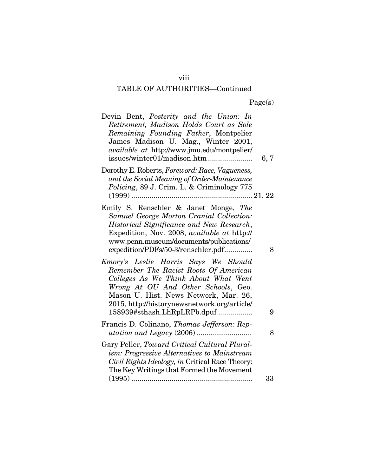# Page(s)

| Devin Bent, Posterity and the Union: In<br>Retirement, Madison Holds Court as Sole<br>Remaining Founding Father, Montpelier<br>James Madison U. Mag., Winter 2001,<br>available at http://www.jmu.edu/montpelier/<br>issues/winter01/madison.htm                                     | 6, 7 |
|--------------------------------------------------------------------------------------------------------------------------------------------------------------------------------------------------------------------------------------------------------------------------------------|------|
| Dorothy E. Roberts, Foreword: Race, Vagueness,<br>and the Social Meaning of Order-Maintenance<br>Policing, 89 J. Crim. L. & Criminology 775                                                                                                                                          |      |
| Emily S. Renschler & Janet Monge, The<br>Samuel George Morton Cranial Collection:<br>Historical Significance and New Research,<br>Expedition, Nov. 2008, available at http://<br>www.penn.museum/documents/publications/<br>expedition/PDFs/50-3/renschler.pdf                       | 8    |
| Emory's Leslie Harris Says We Should<br>Remember The Racist Roots Of American<br>Colleges As We Think About What Went<br>Wrong At OU And Other Schools, Geo.<br>Mason U. Hist. News Network, Mar. 26,<br>2015, http://historynewsnetwork.org/article/<br>158939#sthash.LhRpLRPb.dpuf | 9    |
| Francis D. Colinano, Thomas Jefferson: Rep-                                                                                                                                                                                                                                          | 8    |
| Gary Peller, Toward Critical Cultural Plural-<br>ism: Progressive Alternatives to Mainstream<br>Civil Rights Ideology, in Critical Race Theory:<br>The Key Writings that Formed the Movement                                                                                         |      |
|                                                                                                                                                                                                                                                                                      | 33   |

viii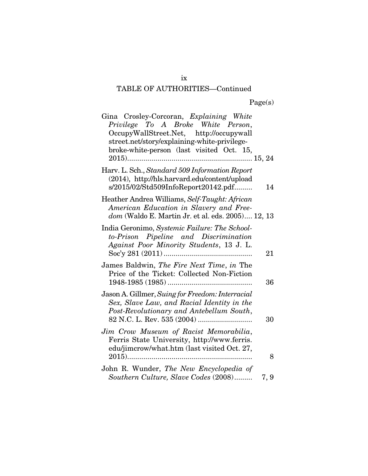| Gina Crosley-Corcoran, Explaining White<br>Privilege To A Broke White Person,<br>OccupyWallStreet.Net, http://occupywall<br>street.net/story/explaining-white-privilege-<br>broke-white-person (last visited Oct. 15, |      |
|-----------------------------------------------------------------------------------------------------------------------------------------------------------------------------------------------------------------------|------|
| Harv. L. Sch., Standard 509 Information Report<br>(2014), http://hls.harvard.edu/content/upload<br>s/2015/02/Std509InfoReport20142.pdf                                                                                | 14   |
| Heather Andrea Williams, Self-Taught: African<br>American Education in Slavery and Free-<br>dom (Waldo E. Martin Jr. et al. eds. 2005) 12, 13                                                                         |      |
| India Geronimo, Systemic Failure: The School-<br>to-Prison Pipeline and Discrimination<br>Against Poor Minority Students, 13 J. L.                                                                                    | 21   |
| James Baldwin, The Fire Next Time, in The<br>Price of the Ticket: Collected Non-Fiction                                                                                                                               | 36   |
| Jason A. Gillmer, Suing for Freedom: Interracial<br>Sex, Slave Law, and Racial Identity in the<br>Post-Revolutionary and Antebellum South,                                                                            | 30   |
| Jim Crow Museum of Racist Memorabilia,<br>Ferris State University, http://www.ferris.<br>edu/jimcrow/what.htm (last visited Oct. 27,                                                                                  | 8    |
| John R. Wunder, The New Encyclopedia of<br>Southern Culture, Slave Codes (2008)                                                                                                                                       | 7, 9 |

ix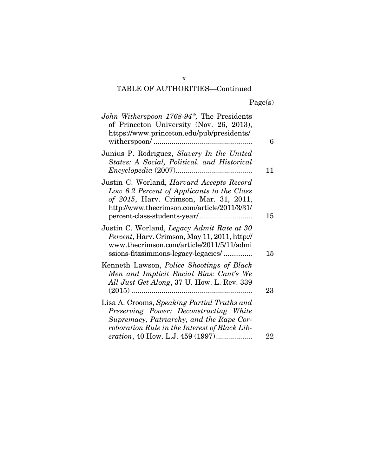### x

# TABLE OF AUTHORITIES—Continued

|  | Page(s) |
|--|---------|
|  |         |

| John Witherspoon 1768-94*, The Presidents<br>of Princeton University (Nov. 26, 2013),<br>https://www.princeton.edu/pub/presidents/                                                       | 6  |
|------------------------------------------------------------------------------------------------------------------------------------------------------------------------------------------|----|
| Junius P. Rodriguez, Slavery In the United<br>States: A Social, Political, and Historical                                                                                                | 11 |
| Justin C. Worland, <i>Harvard Accepts Record</i><br>Low 6.2 Percent of Applicants to the Class<br>of 2015, Harv. Crimson, Mar. 31, 2011,<br>http://www.thecrimson.com/article/2011/3/31/ | 15 |
| Justin C. Worland, Legacy Admit Rate at 30<br>Percent, Harv. Crimson, May 11, 2011, http://<br>www.thecrimson.com/article/2011/5/11/admi<br>ssions-fitzsimmons-legacy-legacies/          | 15 |
| Kenneth Lawson, <i>Police Shootings of Black</i><br>Men and Implicit Racial Bias: Cant's We<br>All Just Get Along, 37 U. How. L. Rev. 339                                                | 23 |
| Lisa A. Crooms, Speaking Partial Truths and<br>Preserving Power: Deconstructing White<br>Supremacy, Patriarchy, and the Rape Cor-<br>roboration Rule in the Interest of Black Lib-       |    |
| eration, 40 How. L.J. 459 (1997)                                                                                                                                                         | 22 |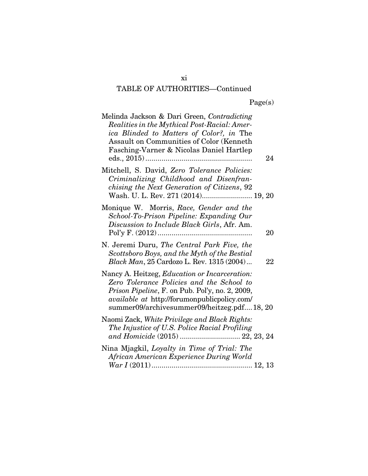| Melinda Jackson & Dari Green, Contradicting<br>Realities in the Mythical Post-Racial: Amer-<br>ica Blinded to Matters of Color?, in The<br>Assault on Communities of Color (Kenneth<br>Fasching-Varner & Nicolas Daniel Hartlep                    | 24              |
|----------------------------------------------------------------------------------------------------------------------------------------------------------------------------------------------------------------------------------------------------|-----------------|
| Mitchell, S. David, Zero Tolerance Policies:<br>Criminalizing Childhood and Disenfran-<br>chising the Next Generation of Citizens, 92<br>Wash. U. L. Rev. 271 (2014) 19, 20                                                                        |                 |
| Monique W. Morris, Race, Gender and the<br>School-To-Prison Pipeline: Expanding Our<br>Discussion to Include Black Girls, Afr. Am.                                                                                                                 | 20              |
| N. Jeremi Duru, The Central Park Five, the<br>Scottsboro Boys, and the Myth of the Bestial<br>Black Man, 25 Cardozo L. Rev. 1315 (2004)                                                                                                            | $\overline{22}$ |
| Nancy A. Heitzeg, Education or Incarceration:<br>Zero Tolerance Policies and the School to<br>Prison Pipeline, F. on Pub. Pol'y, no. 2, 2009,<br><i>available at http://forumonpublicpolicy.com/</i><br>summer09/archivesummer09/heitzeg.pdf18, 20 |                 |
| Naomi Zack, White Privilege and Black Rights:<br>The Injustice of U.S. Police Racial Profiling                                                                                                                                                     |                 |
| Nina Mjagkil, Loyalty in Time of Trial: The<br>African American Experience During World                                                                                                                                                            |                 |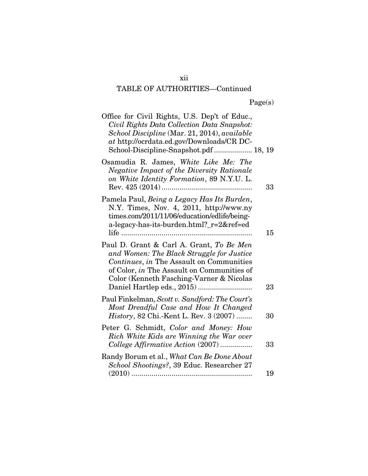| Office for Civil Rights, U.S. Dep't of Educ.,<br>Civil Rights Data Collection Data Snapshot:<br>School Discipline (Mar. 21, 2014), available<br>at http://ocrdata.ed.gov/Downloads/CR DC-<br>School-Discipline-Snapshot.pdf 18, 19 |    |
|------------------------------------------------------------------------------------------------------------------------------------------------------------------------------------------------------------------------------------|----|
| Osamudia R. James, White Like Me: The<br><b>Negative Impact of the Diversity Rationale</b><br>on White Identity Formation, 89 N.Y.U. L.                                                                                            | 33 |
| Pamela Paul, Being a Legacy Has Its Burden,<br>N.Y. Times, Nov. 4, 2011, http://www.ny<br>times.com/2011/11/06/education/edlife/being-<br>a-legacy-has-its-burden.html?_r=2&ref=ed                                                 | 15 |
| Paul D. Grant & Carl A. Grant, To Be Men<br>and Women: The Black Struggle for Justice<br>Continues, in The Assault on Communities<br>of Color, in The Assault on Communities of<br>Color (Kenneth Fasching-Varner & Nicolas        | 23 |
| Paul Finkelman, Scott v. Sandford: The Court's<br>Most Dreadful Case and How It Changed<br><i>History</i> , 82 Chi.-Kent L. Rev. 3 (2007)                                                                                          | 30 |
| Peter G. Schmidt, Color and Money: How<br>Rich White Kids are Winning the War over<br>College Affirmative Action (2007)                                                                                                            | 33 |
| Randy Borum et al., What Can Be Done About<br>School Shootings?, 39 Educ. Researcher 27                                                                                                                                            | 19 |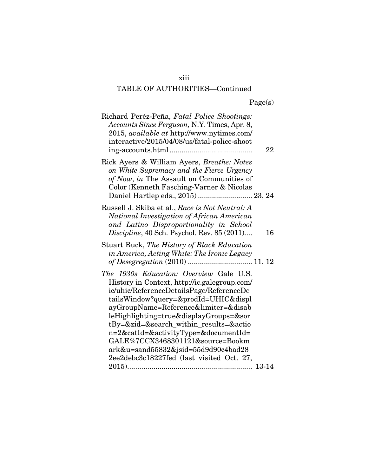### xiii

# TABLE OF AUTHORITIES—Continued

|  | Page(s) |
|--|---------|
|  |         |

| Richard Peréz-Peña, Fatal Police Shootings:<br>Accounts Since Ferguson, N.Y. Times, Apr. 8,<br>2015, available at http://www.nytimes.com/<br>interactive/2015/04/08/us/fatal-police-shoot                                                                                                                                                                                                                                                                               | 22 |
|-------------------------------------------------------------------------------------------------------------------------------------------------------------------------------------------------------------------------------------------------------------------------------------------------------------------------------------------------------------------------------------------------------------------------------------------------------------------------|----|
| Rick Ayers & William Ayers, Breathe: Notes<br>on White Supremacy and the Fierce Urgency<br>of Now, in The Assault on Communities of<br>Color (Kenneth Fasching-Varner & Nicolas<br>Daniel Hartlep eds., 2015)  23, 24                                                                                                                                                                                                                                                   |    |
| Russell J. Skiba et al., Race is Not Neutral: A<br>National Investigation of African American<br>and Latino Disproportionality in School<br>Discipline, 40 Sch. Psychol. Rev. 85 (2011)                                                                                                                                                                                                                                                                                 | 16 |
| Stuart Buck, The History of Black Education<br>in America, Acting White: The Ironic Legacy<br>of Desegregation (2010)  11, 12                                                                                                                                                                                                                                                                                                                                           |    |
| The 1930s Education: Overview Gale U.S.<br>History in Context, http://ic.galegroup.com/<br>ic/uhic/ReferenceDetailsPage/ReferenceDe<br>tailsWindow?query=&prodId=UHIC&displ<br>ayGroupName=Reference&limiter=&disab<br>leHighlighting=true&displayGroups=&sor<br>tBy=&zid=&search_within_results=&actio<br>n=2&catId=&activityType=&documentId=<br>GALE%7CCX3468301121&source=Bookm<br>ark&u=sand55832&jsid=55d9d90c4bad28<br>2ee2debc3c18227fed (last visited Oct. 27, |    |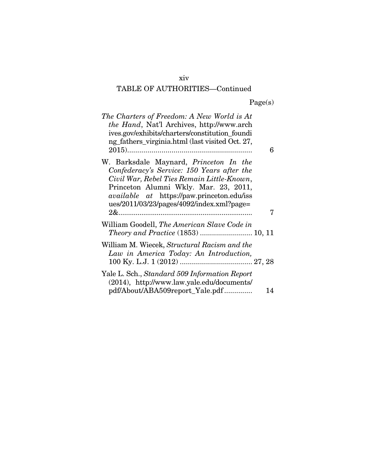### xiv

# TABLE OF AUTHORITIES—Continued

|  | Page(s) |
|--|---------|
|  |         |

| The Charters of Freedom: A New World is At<br><i>the Hand</i> , Nat'l Archives, http://www.arch<br>ives.gov/exhibits/charters/constitution_foundi<br>ng fathers virginia.html (last visited Oct. 27,                                                                                   | 6  |
|----------------------------------------------------------------------------------------------------------------------------------------------------------------------------------------------------------------------------------------------------------------------------------------|----|
| W. Barksdale Maynard, <i>Princeton In the</i><br>Confederacy's Service: 150 Years after the<br>Civil War, Rebel Ties Remain Little-Known,<br>Princeton Alumni Wkly. Mar. 23, 2011,<br><i>available at</i> https://paw.princeton.edu/iss<br>$ues/2011/03/23/pages/4092/index.xml?page=$ | 7  |
| William Goodell, The American Slave Code in                                                                                                                                                                                                                                            |    |
| William M. Wiecek, Structural Racism and the<br>Law in America Today: An Introduction,                                                                                                                                                                                                 |    |
| Yale L. Sch., Standard 509 Information Report<br>(2014), http://www.law.yale.edu/documents/<br>pdf/About/ABA509report_Yale.pdf                                                                                                                                                         | 14 |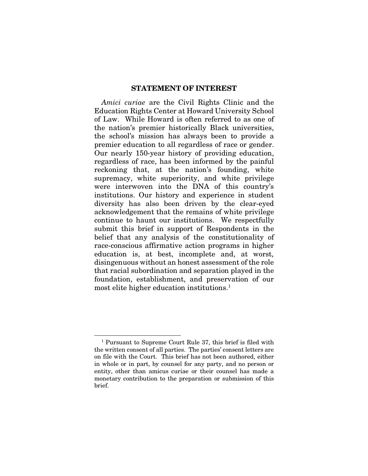#### STATEMENT OF INTEREST

*Amici curiae* are the Civil Rights Clinic and the Education Rights Center at Howard University School of Law. While Howard is often referred to as one of the nation's premier historically Black universities, the school's mission has always been to provide a premier education to all regardless of race or gender. Our nearly 150-year history of providing education, regardless of race, has been informed by the painful reckoning that, at the nation's founding, white supremacy, white superiority, and white privilege were interwoven into the DNA of this country's institutions. Our history and experience in student diversity has also been driven by the clear-eyed acknowledgement that the remains of white privilege continue to haunt our institutions. We respectfully submit this brief in support of Respondents in the belief that any analysis of the constitutionality of race-conscious affirmative action programs in higher education is, at best, incomplete and, at worst, disingenuous without an honest assessment of the role that racial subordination and separation played in the foundation, establishment, and preservation of our most elite higher education institutions.[1](#page-15-0)

<span id="page-15-0"></span><sup>1</sup> Pursuant to Supreme Court Rule 37, this brief is filed with the written consent of all parties. The parties' consent letters are on file with the Court. This brief has not been authored, either in whole or in part, by counsel for any party, and no person or entity, other than amicus curiae or their counsel has made a monetary contribution to the preparation or submission of this brief.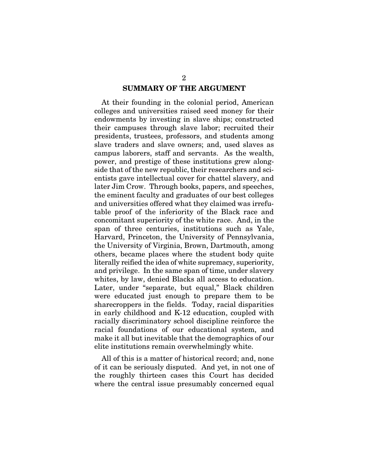#### SUMMARY OF THE ARGUMENT

At their founding in the colonial period, American colleges and universities raised seed money for their endowments by investing in slave ships; constructed their campuses through slave labor; recruited their presidents, trustees, professors, and students among slave traders and slave owners; and, used slaves as campus laborers, staff and servants. As the wealth, power, and prestige of these institutions grew alongside that of the new republic, their researchers and scientists gave intellectual cover for chattel slavery, and later Jim Crow. Through books, papers, and speeches, the eminent faculty and graduates of our best colleges and universities offered what they claimed was irrefutable proof of the inferiority of the Black race and concomitant superiority of the white race. And, in the span of three centuries, institutions such as Yale, Harvard, Princeton, the University of Pennsylvania, the University of Virginia, Brown, Dartmouth, among others, became places where the student body quite literally reified the idea of white supremacy, superiority, and privilege. In the same span of time, under slavery whites, by law, denied Blacks all access to education. Later, under "separate, but equal," Black children were educated just enough to prepare them to be sharecroppers in the fields. Today, racial disparities in early childhood and K-12 education, coupled with racially discriminatory school discipline reinforce the racial foundations of our educational system, and make it all but inevitable that the demographics of our elite institutions remain overwhelmingly white.

All of this is a matter of historical record; and, none of it can be seriously disputed. And yet, in not one of the roughly thirteen cases this Court has decided where the central issue presumably concerned equal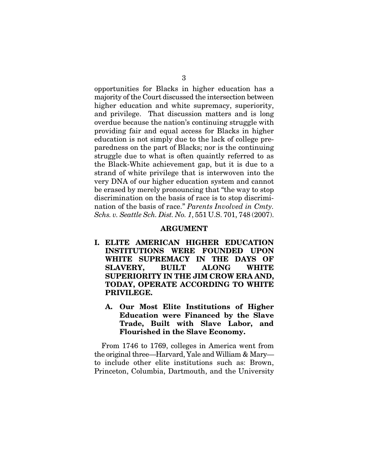opportunities for Blacks in higher education has a majority of the Court discussed the intersection between higher education and white supremacy, superiority, and privilege. That discussion matters and is long overdue because the nation's continuing struggle with providing fair and equal access for Blacks in higher education is not simply due to the lack of college preparedness on the part of Blacks; nor is the continuing struggle due to what is often quaintly referred to as the Black-White achievement gap, but it is due to a strand of white privilege that is interwoven into the very DNA of our higher education system and cannot be erased by merely pronouncing that "the way to stop discrimination on the basis of race is to stop discrimination of the basis of race." *Parents Involved in Cmty. Schs. v. Seattle Sch. Dist. No. 1*, 551 U.S. 701, 748 (2007).

#### ARGUMENT

- I. ELITE AMERICAN HIGHER EDUCATION INSTITUTIONS WERE FOUNDED UPON WHITE SUPREMACY IN THE DAYS OF SLAVERY, BUILT ALONG WHITE SUPERIORITY IN THE JIM CROW ERA AND, TODAY, OPERATE ACCORDING TO WHITE PRIVILEGE.
	- A. Our Most Elite Institutions of Higher Education were Financed by the Slave Trade, Built with Slave Labor, and Flourished in the Slave Economy.

From 1746 to 1769, colleges in America went from the original three—Harvard, Yale and William & Mary to include other elite institutions such as: Brown, Princeton, Columbia, Dartmouth, and the University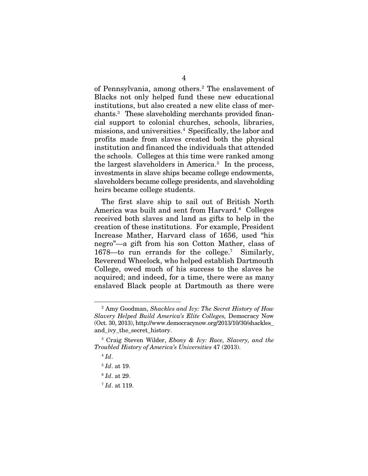of Pennsylvania, among others.[2](#page-18-0) The enslavement of Blacks not only helped fund these new educational institutions, but also created a new elite class of merchants.[3](#page-18-1) These slaveholding merchants provided financial support to colonial churches, schools, libraries, missions, and universities.[4](#page-18-2) Specifically, the labor and profits made from slaves created both the physical institution and financed the individuals that attended the schools. Colleges at this time were ranked among the largest slaveholders in America.[5](#page-18-3) In the process, investments in slave ships became college endowments, slaveholders became college presidents, and slaveholding heirs became college students.

The first slave ship to sail out of British North America was built and sent from Harvard.<sup>6</sup> Colleges received both slaves and land as gifts to help in the creation of these institutions. For example, President Increase Mather, Harvard class of 1656, used "his negro"—a gift from his son Cotton Mather, class of 1678—to run errands for the college.[7](#page-18-5) Similarly, Reverend Wheelock, who helped establish Dartmouth College, owed much of his success to the slaves he acquired; and indeed, for a time, there were as many enslaved Black people at Dartmouth as there were

<span id="page-18-0"></span><sup>2</sup> Amy Goodman, *Shackles and Ivy: The Secret History of How Slavery Helped Build America's Elite Colleges,* Democracy Now (Oct. 30, 2013), http://www.democracynow.org/2013/10/30/shackles\_ and\_ivy\_the\_secret\_history.

<span id="page-18-3"></span><span id="page-18-2"></span><span id="page-18-1"></span><sup>3</sup> Craig Steven Wilder, *Ebony & Ivy: Race, Slavery, and the Troubled History of America's Universities* 47 (2013).

 $4$   $Id.$ 

<sup>5</sup> *Id*. at 19.

<span id="page-18-5"></span><span id="page-18-4"></span><sup>6</sup> *Id*. at 29.

<sup>7</sup> *Id*. at 119.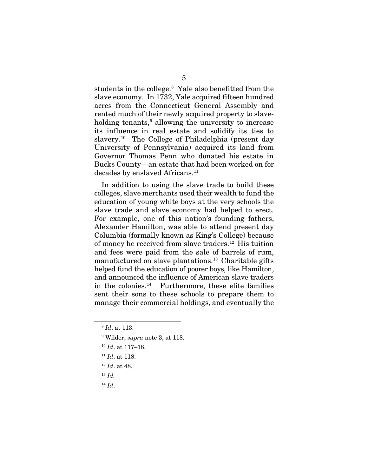students in the college.<sup>[8](#page-19-0)</sup> Yale also benefitted from the slave economy. In 1732, Yale acquired fifteen hundred acres from the Connecticut General Assembly and rented much of their newly acquired property to slaveholding tenants, $9$  allowing the university to increase its influence in real estate and solidify its ties to slavery.[10](#page-19-2) The College of Philadelphia (present day University of Pennsylvania) acquired its land from Governor Thomas Penn who donated his estate in Bucks County—an estate that had been worked on for decades by enslaved Africans.<sup>[11](#page-19-3)</sup>

In addition to using the slave trade to build these colleges, slave merchants used their wealth to fund the education of young white boys at the very schools the slave trade and slave economy had helped to erect. For example, one of this nation's founding fathers, Alexander Hamilton, was able to attend present day Columbia (formally known as King's College) because of money he received from slave traders.<sup>[12](#page-19-4)</sup> His tuition and fees were paid from the sale of barrels of rum, manufactured on slave plantations.<sup>[13](#page-19-5)</sup> Charitable gifts helped fund the education of poorer boys, like Hamilton, and announced the influence of American slave traders in the colonies[.14](#page-19-6) Furthermore, these elite families sent their sons to these schools to prepare them to manage their commercial holdings, and eventually the

<span id="page-19-5"></span><sup>13</sup> *Id.* 

<span id="page-19-2"></span><span id="page-19-1"></span><span id="page-19-0"></span>1

<span id="page-19-6"></span><sup>14</sup> *Id*.

<sup>8</sup> *Id*. at 113.

<sup>9</sup> Wilder, *supra* note 3, at 118.

<sup>10</sup> *Id*. at 117–18.

<span id="page-19-3"></span><sup>11</sup> *Id*. at 118.

<span id="page-19-4"></span><sup>12</sup> *Id*. at 48.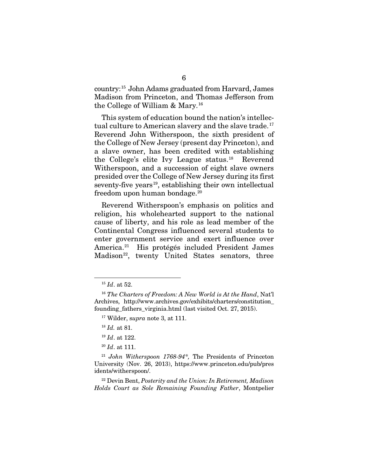country:[15](#page-20-0) John Adams graduated from Harvard, James Madison from Princeton, and Thomas Jefferson from the College of William & Mary.[16](#page-20-1)

This system of education bound the nation's intellectual culture to American slavery and the slave trade.<sup>17</sup> Reverend John Witherspoon, the sixth president of the College of New Jersey (present day Princeton), and a slave owner, has been credited with establishing the College's elite Ivy League status. [18](#page-20-3) Reverend Witherspoon, and a succession of eight slave owners presided over the College of New Jersey during its first seventy-five years<sup>[19](#page-20-4)</sup>, establishing their own intellectual freedom upon human bondage.[20](#page-20-5)

Reverend Witherspoon's emphasis on politics and religion, his wholehearted support to the national cause of liberty, and his role as lead member of the Continental Congress influenced several students to enter government service and exert influence over America.[21](#page-20-6) His protégés included President James Madison<sup>22</sup>, twenty United States senators, three

1

<sup>20</sup> *Id*. at 111.

<span id="page-20-7"></span><sup>22</sup> Devin Bent, *Posterity and the Union: In Retirement, Madison Holds Court as Sole Remaining Founding Father*, Montpelier

<sup>15</sup> *Id*. at 52.

<span id="page-20-2"></span><span id="page-20-1"></span><span id="page-20-0"></span><sup>16</sup> *The Charters of Freedom: A New World is At the Hand*, Nat'l Archives, http://www.archives.gov/exhibits/charters/constitution\_ founding fathers virginia.html (last visited Oct. 27, 2015).

<sup>17</sup> Wilder, s*upra* note 3, at 111.

<sup>18</sup> *Id.* at 81.

<sup>19</sup> *Id*. at 122.

<span id="page-20-6"></span><span id="page-20-5"></span><span id="page-20-4"></span><span id="page-20-3"></span><sup>21</sup> *John Witherspoon 1768-94\*,* The Presidents of Princeton University (Nov. 26, 2013), https://www.princeton.edu/pub/pres idents/witherspoon/.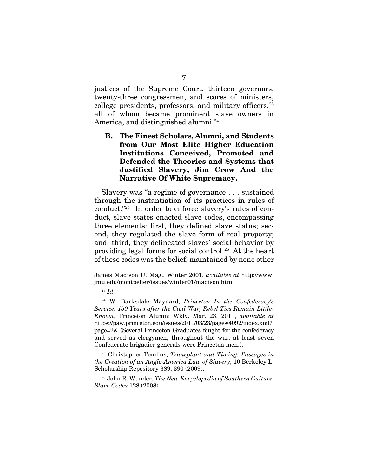justices of the Supreme Court, thirteen governors, twenty-three congressmen, and scores of ministers, college presidents, professors, and military officers, $23$ all of whom became prominent slave owners in America, and distinguished alumni.<sup>24</sup>

B. The Finest Scholars, Alumni, and Students from Our Most Elite Higher Education Institutions Conceived, Promoted and Defended the Theories and Systems that Justified Slavery, Jim Crow And the Narrative Of White Supremacy.

Slavery was "a regime of governance . . . sustained through the instantiation of its practices in rules of conduct."[25](#page-21-2) In order to enforce slavery's rules of conduct, slave states enacted slave codes, encompassing three elements: first, they defined slave status; second, they regulated the slave form of real property; and, third, they delineated slaves' social behavior by providing legal forms for social control.[26](#page-21-3) At the heart of these codes was the belief, maintained by none other

-

<span id="page-21-2"></span><sup>25</sup> Christopher Tomlins, *Transplant and Timing: Passages in the Creation of an Anglo-America Law of Slavery*, 10 Berkeley L. Scholarship Repository 389, 390 (2009).

<span id="page-21-3"></span><sup>26</sup> John R. Wunder, *The New Encyclopedia of Southern Culture, Slave Codes* 128 (2008).

James Madison U. Mag., Winter 2001, *available at* http://www. jmu.edu/montpelier/issues/winter01/madison.htm.

<sup>23</sup> *Id.*

<span id="page-21-1"></span><span id="page-21-0"></span><sup>24</sup> W. Barksdale Maynard, *Princeton In the Confederacy's Service: 150 Years after the Civil War, Rebel Ties Remain Little-Known*, Princeton Alumni Wkly. Mar. 23, 2011, *available at*  https://paw.princeton.edu/issues/2011/03/23/pages/4092/index.xml? page=2& (Several Princeton Graduates fought for the confederacy and served as clergymen, throughout the war, at least seven Confederate brigadier generals were Princeton men.).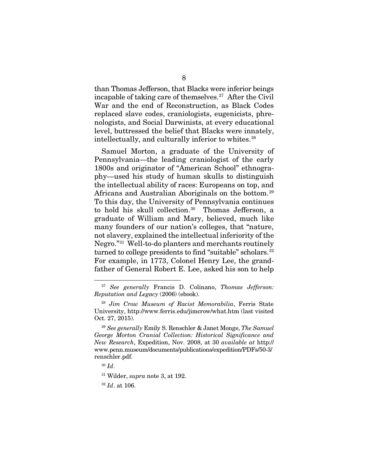than Thomas Jefferson, that Blacks were inferior beings incapable of taking care of themselves.[27](#page-22-0) After the Civil War and the end of Reconstruction, as Black Codes replaced slave codes, craniologists, eugenicists, phrenologists, and Social Darwinists, at every educational level, buttressed the belief that Blacks were innately, intellectually, and culturally inferior to whites.<sup>[28](#page-22-1)</sup>

Samuel Morton, a graduate of the University of Pennsylvania—the leading craniologist of the early 1800s and originator of "American School" ethnography—used his study of human skulls to distinguish the intellectual ability of races: Europeans on top, and Africans and Australian Aboriginals on the bottom. [29](#page-22-2)  To this day, the University of Pennsylvania continues to hold his skull collection.<sup>30</sup> Thomas Jefferson, a graduate of William and Mary, believed, much like many founders of our nation's colleges, that "nature, not slavery, explained the intellectual inferiority of the Negro."[31](#page-22-4) Well-to-do planters and merchants routinely turned to college presidents to find "suitable" scholars.<sup>32</sup> For example, in 1773, Colonel Henry Lee, the grandfather of General Robert E. Lee, asked his son to help

<span id="page-22-0"></span><sup>27</sup> *See generally* Francis D. Colinano, *Thomas Jefferson: Reputation and Legacy* (2006) (ebook).

<span id="page-22-1"></span><sup>28</sup> *Jim Crow Museum of Racist Memorabilia*, Ferris State University, http://www.ferris.edu/jimcrow/what.htm (last visited Oct. 27, 2015).

<span id="page-22-2"></span><sup>29</sup> *See generally* Emily S. Renschler & Janet Monge, *The Samuel George Morton Cranial Collection: Historical Significance and New Research*, Expedition, Nov. 2008, at 30 *available at* http:// www.penn.museum/documents/publications/expedition/PDFs/50-3/ renschler.pdf.

<span id="page-22-3"></span><sup>30</sup> *Id*.

<span id="page-22-4"></span><sup>31</sup> Wilder, *supra* note 3, at 192.

<span id="page-22-5"></span><sup>32</sup> *Id*. at 106.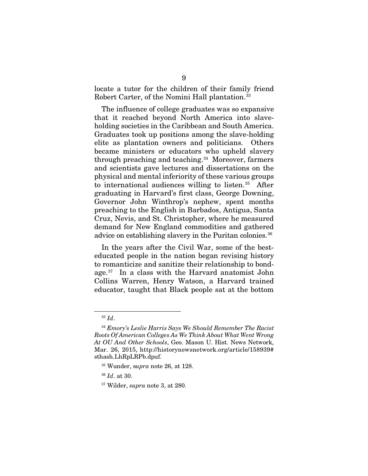locate a tutor for the children of their family friend Robert Carter, of the Nomini Hall plantation.<sup>[33](#page-23-0)</sup>

The influence of college graduates was so expansive that it reached beyond North America into slaveholding societies in the Caribbean and South America. Graduates took up positions among the slave-holding elite as plantation owners and politicians. Others became ministers or educators who upheld slavery through preaching and teaching.[34](#page-23-1) Moreover, farmers and scientists gave lectures and dissertations on the physical and mental inferiority of these various groups to international audiences willing to listen. $35$  After graduating in Harvard's first class, George Downing, Governor John Winthrop's nephew, spent months preaching to the English in Barbados, Antigua, Santa Cruz, Nevis, and St. Christopher, where he measured demand for New England commodities and gathered advice on establishing slavery in the Puritan colonies.<sup>[36](#page-23-3)</sup>

In the years after the Civil War, some of the besteducated people in the nation began revising history to romanticize and sanitize their relationship to bondage.[37](#page-23-4) In a class with the Harvard anatomist John Collins Warren, Henry Watson, a Harvard trained educator, taught that Black people sat at the bottom

<sup>33</sup> *Id*.

<span id="page-23-1"></span><span id="page-23-0"></span><sup>34</sup> *Emory's Leslie Harris Says We Should Remember The Racist Roots Of American Colleges As We Think About What Went Wrong At OU And Other Schools*, Geo. Mason U. Hist. News Network, Mar. 26, 2015, http://historynewsnetwork.org/article/158939# sthash.LhRpLRPb.dpuf.

<sup>35</sup> Wunder, s*upra* note 26, at 128.

<span id="page-23-4"></span><span id="page-23-3"></span><span id="page-23-2"></span><sup>36</sup> *Id*. at 30.

<sup>37</sup> Wilder, *supra* note 3, at 280.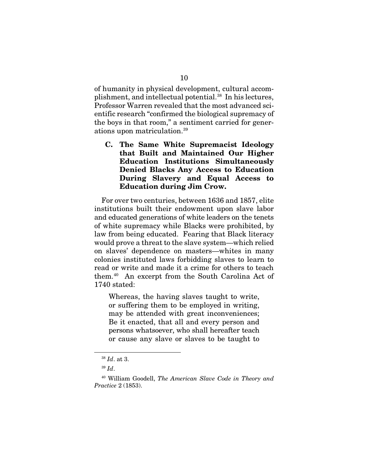of humanity in physical development, cultural accomplishment, and intellectual potential[.38](#page-24-0) In his lectures, Professor Warren revealed that the most advanced scientific research "confirmed the biological supremacy of the boys in that room," a sentiment carried for generations upon matriculation.[39](#page-24-1)

C. The Same White Supremacist Ideology that Built and Maintained Our Higher Education Institutions Simultaneously Denied Blacks Any Access to Education During Slavery and Equal Access to Education during Jim Crow.

For over two centuries, between 1636 and 1857, elite institutions built their endowment upon slave labor and educated generations of white leaders on the tenets of white supremacy while Blacks were prohibited, by law from being educated. Fearing that Black literacy would prove a threat to the slave system—which relied on slaves' dependence on masters—whites in many colonies instituted laws forbidding slaves to learn to read or write and made it a crime for others to teach them.[40](#page-24-2) An excerpt from the South Carolina Act of 1740 stated:

Whereas, the having slaves taught to write, or suffering them to be employed in writing, may be attended with great inconveniences; Be it enacted, that all and every person and persons whatsoever, who shall hereafter teach or cause any slave or slaves to be taught to

<sup>38</sup> *Id*. at 3.

<sup>39</sup> *Id*.

<span id="page-24-2"></span><span id="page-24-1"></span><span id="page-24-0"></span><sup>40</sup> William Goodell, *The American Slave Code in Theory and Practice* 2 (1853).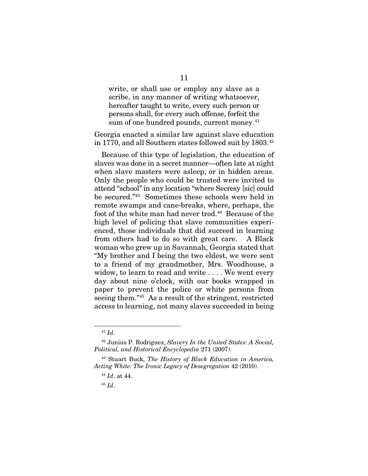write, or shall use or employ any slave as a scribe, in any manner of writing whatsoever, hereafter taught to write, every such person or persons shall, for every such offense, forfeit the sum of one hundred pounds, current money.<sup>[41](#page-25-0)</sup>

Georgia enacted a similar law against slave education in 1770, and all Southern states followed suit by 1803.<sup>[42](#page-25-1)</sup>

Because of this type of legislation, the education of slaves was done in a secret manner—often late at night when slave masters were asleep, or in hidden areas. Only the people who could be trusted were invited to attend "school"in any location "where Secresy [sic] could be secured."[43](#page-25-2) Sometimes these schools were held in remote swamps and cane-breaks, where, perhaps, the foot of the white man had never trod.<sup>44</sup> Because of the high level of policing that slave communities experienced, those individuals that did succeed in learning from others had to do so with great care. A Black woman who grew up in Savannah, Georgia stated that "My brother and I being the two eldest, we were sent to a friend of my grandmother, Mrs. Woodhouse, a widow, to learn to read and write . . . . We went every day about nine o'clock, with our books wrapped in paper to prevent the police or white persons from seeing them."[45](#page-25-4) As a result of the stringent, restricted access to learning, not many slaves succeeded in being

<sup>41</sup> *Id*.

<span id="page-25-1"></span><span id="page-25-0"></span><sup>42</sup> Junius P. Rodriguez, *Slavery In the United States: A Social, Political, and Historical Encyclopedia* 271 (2007).

<span id="page-25-4"></span><span id="page-25-3"></span><span id="page-25-2"></span><sup>43</sup> Stuart Buck, *The History of Black Education in America, Acting White: The Ironic Legacy of Desegregation* 42 (2010).

<sup>44</sup> *Id*. at 44.

<sup>45</sup> *Id*.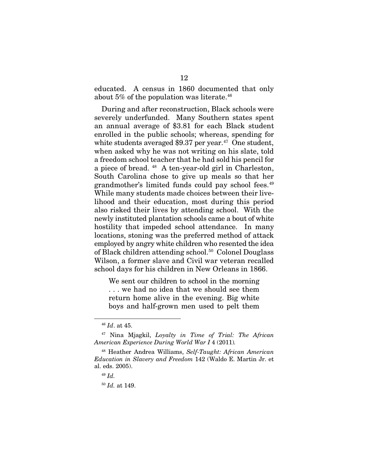educated. A census in 1860 documented that only about  $5\%$  of the population was literate.<sup>46</sup>

During and after reconstruction, Black schools were severely underfunded. Many Southern states spent an annual average of \$3.81 for each Black student enrolled in the public schools; whereas, spending for white students averaged  $$9.37$  per year.<sup>47</sup> One student, when asked why he was not writing on his slate, told a freedom school teacher that he had sold his pencil for a piece of bread. [48](#page-26-2) A ten-year-old girl in Charleston, South Carolina chose to give up meals so that her grandmother's limited funds could pay school fees.<sup>49</sup> While many students made choices between their livelihood and their education, most during this period also risked their lives by attending school. With the newly instituted plantation schools came a bout of white hostility that impeded school attendance. In many locations, stoning was the preferred method of attack employed by angry white children who resented the idea of Black children attending school[.50](#page-26-4) Colonel Douglass Wilson, a former slave and Civil war veteran recalled school days for his children in New Orleans in 1866.

We sent our children to school in the morning . . . we had no idea that we should see them return home alive in the evening. Big white boys and half-grown men used to pelt them

<sup>46</sup> *Id*. at 45.

<span id="page-26-1"></span><span id="page-26-0"></span><sup>47</sup> Nina Mjagkil, *Loyalty in Time of Trial: The African American Experience During World War I* 4 (2011)*.* 

<span id="page-26-4"></span><span id="page-26-3"></span><span id="page-26-2"></span><sup>48</sup> Heather Andrea Williams, *Self-Taught: African American Education in Slavery and Freedom* 142 (Waldo E. Martin Jr. et al. eds. 2005).

<sup>49</sup> *Id.* 

<sup>50</sup> *Id.* at 149.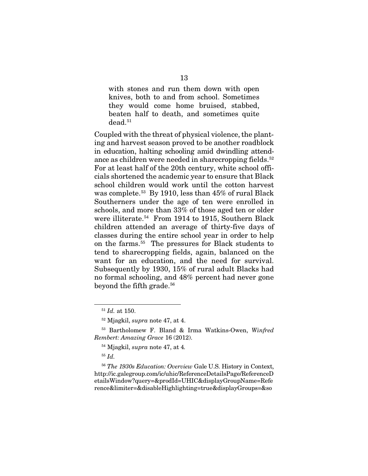with stones and run them down with open knives, both to and from school. Sometimes they would come home bruised, stabbed, beaten half to death, and sometimes quite  $\mathrm{dead.}^{51}$  $\mathrm{dead.}^{51}$  $\mathrm{dead.}^{51}$ 

Coupled with the threat of physical violence, the planting and harvest season proved to be another roadblock in education, halting schooling amid dwindling attendance as children were needed in sharecropping fields.<sup>52</sup> For at least half of the 20th century, white school officials shortened the academic year to ensure that Black school children would work until the cotton harvest was complete.[53](#page-27-2) By 1910, less than 45% of rural Black Southerners under the age of ten were enrolled in schools, and more than 33% of those aged ten or older were illiterate.[54](#page-27-3) From 1914 to 1915, Southern Black children attended an average of thirty-five days of classes during the entire school year in order to help on the farms.[55](#page-27-4) The pressures for Black students to tend to sharecropping fields, again, balanced on the want for an education, and the need for survival. Subsequently by 1930, 15% of rural adult Blacks had no formal schooling, and 48% percent had never gone beyond the fifth grade.<sup>[56](#page-27-5)</sup>

<sup>51</sup> *Id.* at 150.

<sup>52</sup> Mjagkil, *supra* note 47, at 4.

<span id="page-27-3"></span><span id="page-27-2"></span><span id="page-27-1"></span><span id="page-27-0"></span><sup>53</sup> Bartholomew F. Bland & Irma Watkins-Owen, *Winfred Rembert: Amazing Grace* 16 (2012).

<sup>54</sup> Mjagkil, *supra* note 47, at 4*.* 

<sup>55</sup> *Id.* 

<span id="page-27-5"></span><span id="page-27-4"></span><sup>56</sup> *The 1930s Education: Overview* Gale U.S. History in Context, http://ic.galegroup.com/ic/uhic/ReferenceDetailsPage/ReferenceD etailsWindow?query=&prodId=UHIC&displayGroupName=Refe rence&limiter=&disableHighlighting=true&displayGroups=&so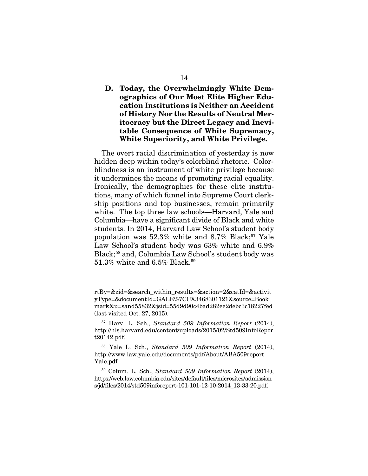### D. Today, the Overwhelmingly White Demographics of Our Most Elite Higher Education Institutions is Neither an Accident of History Nor the Results of Neutral Meritocracy but the Direct Legacy and Inevitable Consequence of White Supremacy, White Superiority, and White Privilege.

The overt racial discrimination of yesterday is now hidden deep within today's colorblind rhetoric. Colorblindness is an instrument of white privilege because it undermines the means of promoting racial equality. Ironically, the demographics for these elite institutions, many of which funnel into Supreme Court clerkship positions and top businesses, remain primarily white. The top three law schools—Harvard, Yale and Columbia—have a significant divide of Black and white students. In 2014, Harvard Law School's student body population was  $52.3\%$  white and  $8.7\%$  Black;<sup>[57](#page-28-0)</sup> Yale Law School's student body was 63% white and 6.9% Black;[58](#page-28-1) and, Columbia Law School's student body was 51.3% white and 6.5% Black.<sup>[59](#page-28-2)</sup>

rtBy=&zid=&search\_within\_results=&action=2&catId=&activit yType=&documentId=GALE%7CCX3468301121&source=Book mark&u=sand55832&jsid=55d9d90c4bad282ee2debc3c18227fed (last visited Oct. 27, 2015).

<span id="page-28-0"></span><sup>57</sup> Harv. L. Sch., *Standard 509 Information Report* (2014), http://hls.harvard.edu/content/uploads/2015/02/Std509InfoRepor t20142.pdf.

<span id="page-28-1"></span><sup>58</sup> Yale L. Sch., *Standard 509 Information Report* (2014), http://www.law.yale.edu/documents/pdf/About/ABA509report\_ Yale.pdf.

<span id="page-28-2"></span><sup>59</sup> Colum. L. Sch., *Standard 509 Information Report* (2014), https://web.law.columbia.edu/sites/default/files/microsites/admission s/jd/files/2014/std509inforeport-101-101-12-10-2014\_13-33-20.pdf.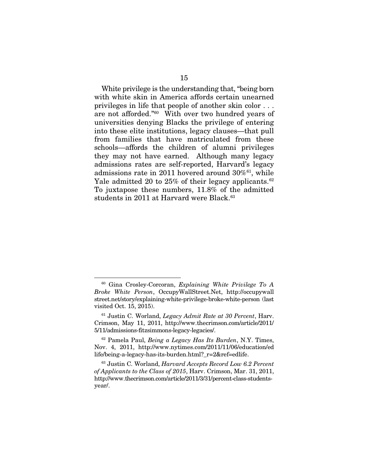White privilege is the understanding that, "being born with white skin in America affords certain unearned privileges in life that people of another skin color . . . are not afforded."[60](#page-29-0) With over two hundred years of universities denying Blacks the privilege of entering into these elite institutions, legacy clauses—that pull from families that have matriculated from these schools—affords the children of alumni privileges they may not have earned. Although many legacy admissions rates are self-reported, Harvard's legacy admissions rate in 2011 hovered around  $30\%$ <sup>[61](#page-29-1)</sup>, while Yale admitted 20 to 25% of their legacy applicants.<sup>62</sup> To juxtapose these numbers, 11.8% of the admitted students in 2011 at Harvard were Black.<sup>[63](#page-29-3)</sup>

<span id="page-29-0"></span><sup>60</sup> Gina Crosley-Corcoran, *Explaining White Privilege To A Broke White Person*, OccupyWallStreet.Net, [http://occupywall](http://occupywall/) street.net/story/explaining-white-privilege-broke-white-person (last visited Oct. 15, 2015).

<span id="page-29-1"></span><sup>61</sup> Justin C. Worland, *Legacy Admit Rate at 30 Percent*, Harv. Crimson, May 11, 2011, http://www.thecrimson.com/article/2011/ 5/11/admissions-fitzsimmons-legacy-legacies/.

<span id="page-29-2"></span><sup>62</sup> Pamela Paul, *Being a Legacy Has Its Burden*, N.Y. Times, Nov. 4, 2011, http://www.nytimes.com/2011/11/06/education/ed life/being-a-legacy-has-its-burden.html?\_r=2&ref=edlife.

<span id="page-29-3"></span><sup>63</sup> Justin C. Worland, *Harvard Accepts Record Low 6.2 Percent of Applicants to the Class of 2015*, Harv. Crimson, Mar. 31, 2011, [http://www.thecrimson.com/article/2011/](http://www.thecrimson.com/article/2011)3/31/percent-class-studentsyear/.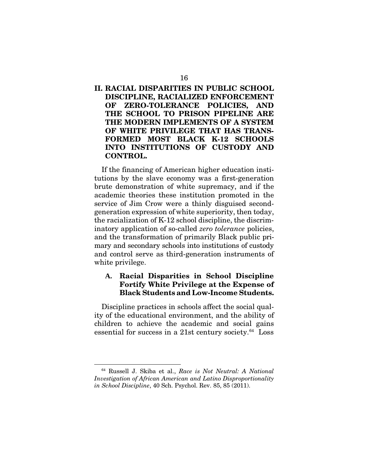### II. RACIAL DISPARITIES IN PUBLIC SCHOOL DISCIPLINE, RACIALIZED ENFORCEMENT OF ZERO-TOLERANCE POLICIES, AND THE SCHOOL TO PRISON PIPELINE ARE THE MODERN IMPLEMENTS OF A SYSTEM OF WHITE PRIVILEGE THAT HAS TRANS-FORMED MOST BLACK K-12 SCHOOLS INTO INSTITUTIONS OF CUSTODY AND CONTROL.

If the financing of American higher education institutions by the slave economy was a first-generation brute demonstration of white supremacy, and if the academic theories these institution promoted in the service of Jim Crow were a thinly disguised secondgeneration expression of white superiority, then today, the racialization of K-12 school discipline, the discriminatory application of so-called *zero tolerance* policies, and the transformation of primarily Black public primary and secondary schools into institutions of custody and control serve as third-generation instruments of white privilege.

### **A.** Racial Disparities in School Discipline Fortify White Privilege at the Expense of Black Students and Low-Income Students.

Discipline practices in schools affect the social quality of the educational environment, and the ability of children to achieve the academic and social gains essential for success in a 21st century society. $64$  Loss

<span id="page-30-0"></span><sup>64</sup> Russell J. Skiba et al., *Race is Not Neutral: A National Investigation of African American and Latino Disproportionality in School Discipline*, 40 Sch. Psychol. Rev. 85, 85 (2011).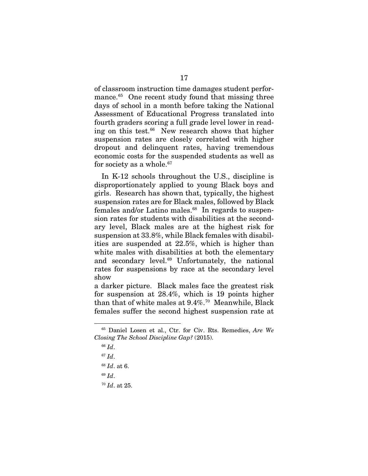of classroom instruction time damages student perfor-mance.<sup>[65](#page-31-0)</sup> One recent study found that missing three days of school in a month before taking the National Assessment of Educational Progress translated into fourth graders scoring a full grade level lower in reading on this test.<sup>66</sup> New research shows that higher suspension rates are closely correlated with higher dropout and delinquent rates, having tremendous economic costs for the suspended students as well as for society as a whole.<sup>[67](#page-31-2)</sup>

In K-12 schools throughout the U.S., discipline is disproportionately applied to young Black boys and girls. Research has shown that, typically, the highest suspension rates are for Black males, followed by Black females and/or Latino males. $68$  In regards to suspension rates for students with disabilities at the secondary level, Black males are at the highest risk for suspension at 33.8%, while Black females with disabilities are suspended at 22.5%, which is higher than white males with disabilities at both the elementary and secondary level.<sup>[69](#page-31-4)</sup> Unfortunately, the national rates for suspensions by race at the secondary level show

a darker picture. Black males face the greatest risk for suspension at 28.4%, which is 19 points higher than that of white males at 9.4%.<sup>[70](#page-31-5)</sup> Meanwhile, Black females suffer the second highest suspension rate at

-

<span id="page-31-5"></span><span id="page-31-4"></span><sup>70</sup> *Id*. at 25.

<span id="page-31-2"></span><span id="page-31-1"></span><span id="page-31-0"></span><sup>65</sup> Daniel Losen et al., Ctr. for Civ. Rts. Remedies, *Are We Closing The School Discipline Gap?* (2015).

<sup>66</sup> *Id*.

<sup>67</sup> *Id*.

<span id="page-31-3"></span><sup>68</sup> *Id*. at 6.

<sup>69</sup> *Id*.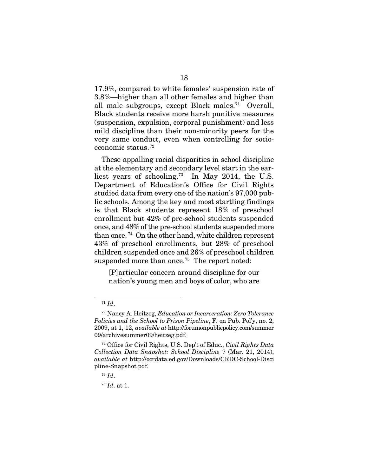17.9%, compared to white females' suspension rate of 3.8%—higher than all other females and higher than all male subgroups, except Black males.<sup>71</sup> Overall, Black students receive more harsh punitive measures (suspension, expulsion, corporal punishment) and less mild discipline than their non-minority peers for the very same conduct, even when controlling for socioeconomic status.[72](#page-32-1) 

These appalling racial disparities in school discipline at the elementary and secondary level start in the earliest years of schooling.[73](#page-32-2) In May 2014, the U.S. Department of Education's Office for Civil Rights studied data from every one of the nation's 97,000 public schools. Among the key and most startling findings is that Black students represent 18% of preschool enrollment but 42% of pre-school students suspended once, and 48% of the pre-school students suspended more than once. [74](#page-32-3) On the other hand, white children represent 43% of preschool enrollments, but 28% of preschool children suspended once and 26% of preschool children suspended more than once.<sup>75</sup> The report noted:

[P]articular concern around discipline for our nation's young men and boys of color, who are

<sup>71</sup> *Id*.

<span id="page-32-1"></span><span id="page-32-0"></span><sup>72</sup> Nancy A. Heitzeg, *Education or Incarceration: Zero Tolerance Policies and the School to Prison Pipeline*, F. on Pub. Pol'y, no. 2, 2009, at 1, 12, *available at* http://forumonpublicpolicy.com/summer 09/archivesummer09/heitzeg.pdf.

<span id="page-32-3"></span><span id="page-32-2"></span><sup>73</sup> Office for Civil Rights, U.S. Dep't of Educ., *Civil Rights Data Collection Data Snapshot: School Discipline* 7 (Mar. 21, 2014), *available at* http://ocrdata.ed.gov/Downloads/CRDC-School-Disci pline-Snapshot.pdf.

<sup>74</sup> *Id*.

<span id="page-32-4"></span><sup>75</sup> *Id*. at 1.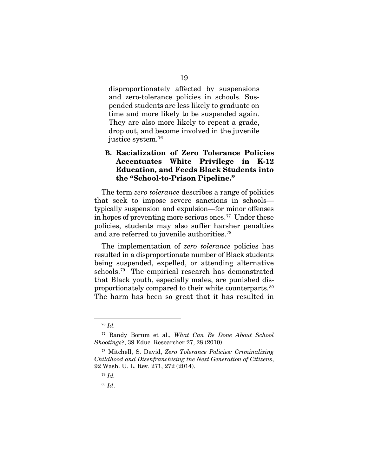disproportionately affected by suspensions and zero-tolerance policies in schools. Suspended students are less likely to graduate on time and more likely to be suspended again. They are also more likely to repeat a grade, drop out, and become involved in the juvenile justice system.[76](#page-33-0)

### **B.** Racialization of Zero Tolerance Policies Accentuates White Privilege in K-12 Education, and Feeds Black Students into the "School-to-Prison Pipeline."

The term *zero tolerance* describes a range of policies that seek to impose severe sanctions in schools typically suspension and expulsion—for minor offenses in hopes of preventing more serious ones.<sup> $77$ </sup> Under these policies, students may also suffer harsher penalties and are referred to juvenile authorities.<sup>[78](#page-33-2)</sup>

The implementation of *zero tolerance* policies has resulted in a disproportionate number of Black students being suspended, expelled, or attending alternative schools.[79](#page-33-3) The empirical research has demonstrated that Black youth, especially males, are punished disproportionately compared to their white counterparts.[80](#page-33-4)  The harm has been so great that it has resulted in

<sup>76</sup> *Id.* 

<span id="page-33-1"></span><span id="page-33-0"></span><sup>77</sup> Randy Borum et al., *What Can Be Done About School Shootings?*, 39 Educ. Researcher 27, 28 (2010).

<span id="page-33-4"></span><span id="page-33-3"></span><span id="page-33-2"></span><sup>78</sup> Mitchell, S. David, *Zero Tolerance Policies: Criminalizing Childhood and Disenfranchising the Next Generation of Citizens*, 92 Wash. U. L. Rev. 271, 272 (2014).

<sup>79</sup> *Id.*

<sup>80</sup> *Id*.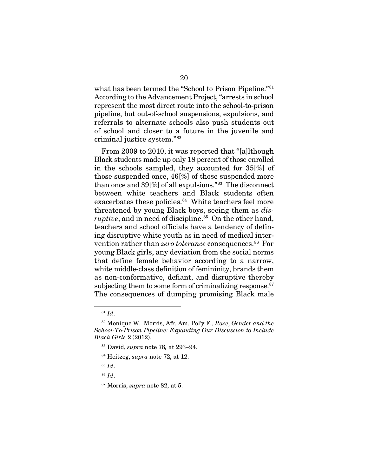what has been termed the "School to Prison Pipeline."[81](#page-34-0)  According to the Advancement Project, "arrests in school represent the most direct route into the school-to-prison pipeline, but out-of-school suspensions, expulsions, and referrals to alternate schools also push students out of school and closer to a future in the juvenile and criminal justice system."[82](#page-34-1) 

From 2009 to 2010, it was reported that "[a]lthough Black students made up only 18 percent of those enrolled in the schools sampled, they accounted for 35[%] of those suspended once, 46[%] of those suspended more than once and 39[%] of all expulsions."[83](#page-34-2) The disconnect between white teachers and Black students often exacerbates these policies.<sup>84</sup> White teachers feel more threatened by young Black boys, seeing them as *disruptive*, and in need of discipline.<sup>[85](#page-34-4)</sup> On the other hand, teachers and school officials have a tendency of defining disruptive white youth as in need of medical intervention rather than *zero tolerance* consequences.<sup>86</sup> For young Black girls, any deviation from the social norms that define female behavior according to a narrow, white middle-class definition of femininity, brands them as non-conformative, defiant, and disruptive thereby subjecting them to some form of criminalizing response. $87$ The consequences of dumping promising Black male

1

<span id="page-34-5"></span><sup>86</sup> *Id*.

<sup>81</sup> *Id*.

<span id="page-34-3"></span><span id="page-34-2"></span><span id="page-34-1"></span><span id="page-34-0"></span><sup>82</sup> Monique W. Morris, Afr. Am. Pol'y F., *Race*, *Gender and the School-To-Prison Pipeline: Expanding Our Discussion to Include Black Girls* 2 (2012).

<sup>83</sup> David, *supra* note 78*,* at 293–94.

<sup>84</sup> Heitzeg, *supra* note 72, at 12.

<span id="page-34-4"></span><sup>85</sup> *Id*.

<span id="page-34-6"></span><sup>87</sup> Morris, *supra* note 82, at 5.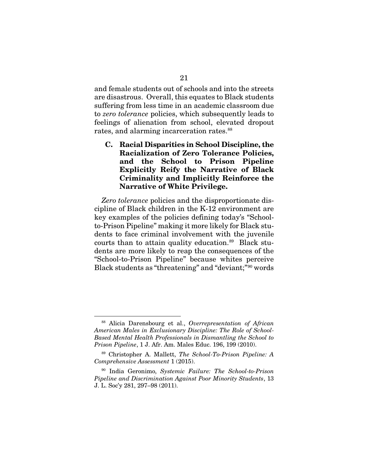and female students out of schools and into the streets are disastrous. Overall, this equates to Black students suffering from less time in an academic classroom due to *zero tolerance* policies, which subsequently leads to feelings of alienation from school, elevated dropout rates, and alarming incarceration rates.<sup>[88](#page-35-0)</sup>

C. Racial Disparities in School Discipline, the Racialization of Zero Tolerance Policies, and the School to Prison Pipeline Explicitly Reify the Narrative of Black Criminality and Implicitly Reinforce the Narrative of White Privilege.

*Zero tolerance* policies and the disproportionate discipline of Black children in the K-12 environment are key examples of the policies defining today's "Schoolto-Prison Pipeline" making it more likely for Black students to face criminal involvement with the juvenile courts than to attain quality education.<sup>89</sup> Black students are more likely to reap the consequences of the "School-to-Prison Pipeline" because whites perceive Black students as "threatening" and "deviant;"[90](#page-35-2) words

<span id="page-35-0"></span><sup>88</sup> Alicia Darensbourg et al., *Overrepresentation of African American Males in Exclusionary Discipline: The Role of School-Based Mental Health Professionals in Dismantling the School to Prison Pipeline*, 1 J. Afr. Am. Males Educ. 196, 199 (2010).

<span id="page-35-1"></span><sup>89</sup> Christopher A. Mallett, *The School-To-Prison Pipeline: A Comprehensive Assessment* 1 (2015).

<span id="page-35-2"></span><sup>90</sup> India Geronimo, *Systemic Failure: The School-to-Prison Pipeline and Discrimination Against Poor Minority Students*, 13 J. L. Soc'y 281, 297–98 (2011).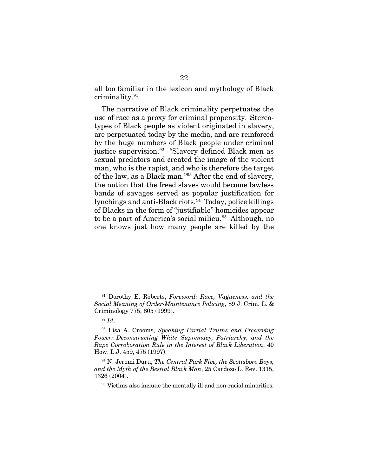all too familiar in the lexicon and mythology of Black criminality.[91](#page-36-0)

The narrative of Black criminality perpetuates the use of race as a proxy for criminal propensity. Stereotypes of Black people as violent originated in slavery, are perpetuated today by the media, and are reinforced by the huge numbers of Black people under criminal justice supervision.<sup>92</sup> "Slavery defined Black men as sexual predators and created the image of the violent man, who is the rapist, and who is therefore the target of the law, as a Black man."[93](#page-36-2) After the end of slavery, the notion that the freed slaves would become lawless bands of savages served as popular justification for lynchings and anti-Black riots.[94](#page-36-3) Today, police killings of Blacks in the form of "justifiable" homicides appear to be a part of America's social milieu.<sup>[95](#page-36-4)</sup> Although, no one knows just how many people are killed by the

<span id="page-36-0"></span><sup>91</sup> Dorothy E. Roberts, *Foreword: Race, Vagueness, and the Social Meaning of Order-Maintenance Policing*, 89 J. Crim. L. & Criminology 775, 805 (1999).

<sup>92</sup> *Id*.

<span id="page-36-2"></span><span id="page-36-1"></span><sup>93</sup> Lisa A. Crooms, *Speaking Partial Truths and Preserving Power: Deconstructing White Supremacy, Patriarchy, and the Rape Corroboration Rule in the Interest of Black Liberation*, 40 How. L.J. 459, 475 (1997).

<span id="page-36-4"></span><span id="page-36-3"></span><sup>94</sup> N. Jeremi Duru, *The Central Park Five, the Scottsboro Boys, and the Myth of the Bestial Black Man*, 25 Cardozo L. Rev. 1315, 1326 (2004).

<sup>&</sup>lt;sup>95</sup> Victims also include the mentally ill and non-racial minorities.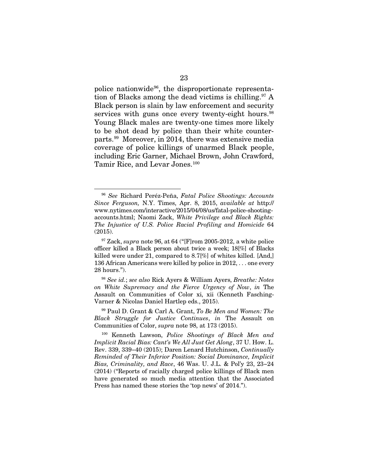police nationwide[96,](#page-37-0) the disproportionate representa-tion of Blacks among the dead victims is chilling.<sup>[97](#page-37-1)</sup> A Black person is slain by law enforcement and security services with guns once every twenty-eight hours.<sup>[98](#page-37-2)</sup> Young Black males are twenty-one times more likely to be shot dead by police than their white counterparts.[99](#page-37-3) Moreover, in 2014, there was extensive media coverage of police killings of unarmed Black people, including Eric Garner, Michael Brown, John Crawford, Tamir Rice, and Levar Jones.[100](#page-37-4)

-

<span id="page-37-2"></span><sup>98</sup> *See id.*; *see also* Rick Ayers & William Ayers, *Breathe: Notes on White Supremacy and the Fierce Urgency of Now*, *in* The Assault on Communities of Color xi, xii (Kenneth Fasching-Varner & Nicolas Daniel Hartlep eds., 2015).

<span id="page-37-3"></span><sup>99</sup> Paul D. Grant & Carl A. Grant, *To Be Men and Women: The Black Struggle for Justice Continues*, *in* The Assault on Communities of Color, *supra* note 98, at 173 (2015).

<span id="page-37-0"></span><sup>96</sup> *See* Richard Peréz-Peña, *Fatal Police Shootings: Accounts Since Ferguson,* N.Y. Times, Apr. 8, 2015, *available at* http:// www.nytimes.com/interactive/2015/04/08/us/fatal-police-shootingaccounts.html; Naomi Zack, *White Privilege and Black Rights: The Injustice of U.S. Police Racial Profiling and Homicide* 64 (2015).

<span id="page-37-1"></span><sup>97</sup> Zack, *supra* note 96, at 64 ("[F]rom 2005-2012, a white police officer killed a Black person about twice a week; 18[%] of Blacks killed were under 21, compared to 8.7[%] of whites killed. [And,] 136 African Americans were killed by police in 2012, . . . one every 28 hours.").

<span id="page-37-4"></span><sup>100</sup> Kenneth Lawson, *Police Shootings of Black Men and Implicit Racial Bias: Cant's We All Just Get Along*, 37 U. How. L. Rev. 339, 339−40 (2015); Daren Lenard Hutchinson, *Continually Reminded of Their Inferior Position: Social Dominance, Implicit Bias, Criminality, and Race*, 46 Was. U. J.L. & Pol'y 23, 23−24 (2014) ("Reports of racially charged police killings of Black men have generated so much media attention that the Associated Press has named these stories the 'top news' of 2014.").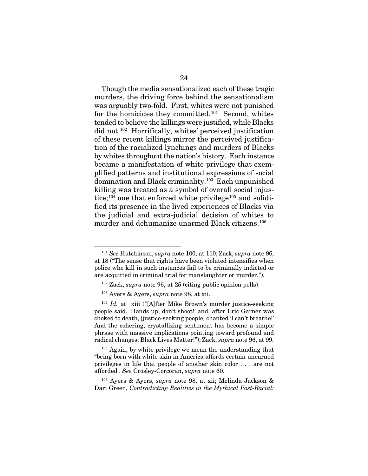Though the media sensationalized each of these tragic murders, the driving force behind the sensationalism was arguably two-fold. First, whites were not punished for the homicides they committed.[101](#page-38-0) Second, whites tended to believe the killings were justified, while Blacks did not.[102](#page-38-1) Horrifically, whites' perceived justification of these recent killings mirror the perceived justification of the racialized lynchings and murders of Blacks by whites throughout the nation's history. Each instance became a manifestation of white privilege that exemplified patterns and institutional expressions of social domination and Black criminality.[103](#page-38-2) Each unpunished killing was treated as a symbol of overall social injus-tice;<sup>[104](#page-38-3)</sup> one that enforced white privilege<sup>[105](#page-38-4)</sup> and solidified its presence in the lived experiences of Blacks via the judicial and extra-judicial decision of whites to murder and dehumanize unarmed Black citizens.[106](#page-38-5)

-

<span id="page-38-5"></span><sup>106</sup> Ayers & Ayers, *supra* note 98, at xii; Melinda Jackson & Dari Green, *Contradicting Realities in the Mythical Post-Racial:*

<span id="page-38-0"></span><sup>101</sup> *See* Hutchinson, *supra* note 100, at 110; Zack, *supra* note 96, at 18 ("The sense that rights have been violated intensifies when police who kill in such instances fail to be criminally indicted or are acquitted in criminal trial for manslaughter or murder.").

<sup>102</sup> Zack, *supra* note 96, at 25 (citing public opinion polls).

<sup>103</sup> Ayers & Ayers, *supra* note 98, at xii.

<span id="page-38-3"></span><span id="page-38-2"></span><span id="page-38-1"></span><sup>&</sup>lt;sup>104</sup> *Id.* at xiii ("[A]fter Mike Brown's murder justice-seeking people said, 'Hands up, don't shoot!' and, after Eric Garner was choked to death, [justice-seeking people] chanted 'I can't breathe!' And the cohering, crystallizing sentiment has become a simple phrase with massive implications pointing toward profound and radical changes: Black Lives Matter!"); Zack, *supra* note 96, at 99.

<span id="page-38-4"></span><sup>&</sup>lt;sup>105</sup> Again, by white privilege we mean the understanding that "being born with white skin in America affords certain unearned privileges in life that people of another skin color . . . are not afforded . *See* Crosley-Corcoran, *supra* note 60.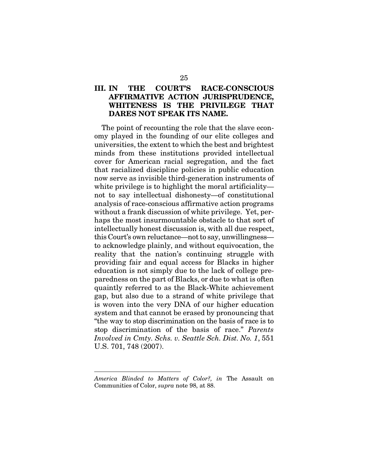### III. IN THE COURT'S RACE-CONSCIOUS AFFIRMATIVE ACTION JURISPRUDENCE, WHITENESS IS THE PRIVILEGE THAT DARES NOT SPEAK ITS NAME.

The point of recounting the role that the slave economy played in the founding of our elite colleges and universities, the extent to which the best and brightest minds from these institutions provided intellectual cover for American racial segregation, and the fact that racialized discipline policies in public education now serve as invisible third-generation instruments of white privilege is to highlight the moral artificiality not to say intellectual dishonesty—of constitutional analysis of race-conscious affirmative action programs without a frank discussion of white privilege. Yet, perhaps the most insurmountable obstacle to that sort of intellectually honest discussion is, with all due respect, this Court's own reluctance—not to say, unwillingness to acknowledge plainly, and without equivocation, the reality that the nation's continuing struggle with providing fair and equal access for Blacks in higher education is not simply due to the lack of college preparedness on the part of Blacks, or due to what is often quaintly referred to as the Black-White achievement gap, but also due to a strand of white privilege that is woven into the very DNA of our higher education system and that cannot be erased by pronouncing that "the way to stop discrimination on the basis of race is to stop discrimination of the basis of race." *Parents Involved in Cmty. Schs. v. Seattle Sch. Dist. No. 1*, 551 U.S. 701, 748 (2007).

*America Blinded to Matters of Color?, in* The Assault on Communities of Color, *supra* note 98, at 88.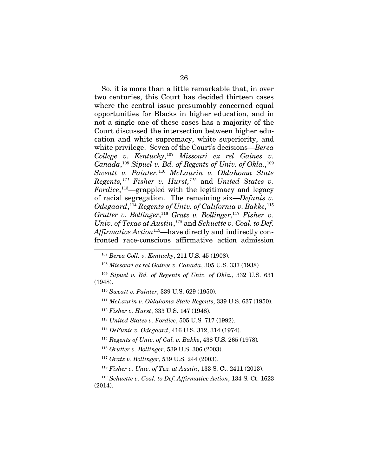So, it is more than a little remarkable that, in over two centuries, this Court has decided thirteen cases where the central issue presumably concerned equal opportunities for Blacks in higher education, and in not a single one of these cases has a majority of the Court discussed the intersection between higher education and white supremacy, white superiority, and white privilege. Seven of the Court's decisions—*Berea College v. Kentucky*, [107](#page-40-0) *Missouri ex rel Gaines v. Canada*, [108](#page-40-1) *Sipuel v. Bd. of Regents of Univ. of Okla.*, [109](#page-40-2) *Sweatt v. Painter,*[110](#page-40-3) *McLaurin v. Oklahoma State Regents,[111](#page-40-4) Fisher v. Hurst,[112](#page-40-5)* and *United States v. Fordice*, [113—](#page-40-6)grappled with the legitimacy and legacy of racial segregation. The remaining six—*Defunis v. Odegaard*, [114](#page-40-7) *Regents of Univ. of California v. Bakke*, [115](#page-40-8) *Grutter v. Bollinger*, [116](#page-40-9) *Gratz v. Bollinger*, [117](#page-40-10) *Fisher v. Univ. of Texas at Austin*, *[118](#page-40-11)* and *Schuette v. Coal. to Def. Affirmative Action*[119](#page-40-12)*—*have directly and indirectly confronted race-conscious affirmative action admission

<span id="page-40-0"></span>1

<sup>112</sup> *Fisher v. Hurst*, 333 U.S. 147 (1948).

<sup>107</sup> *Berea Coll. v. Kentucky*, 211 U.S. 45 (1908).

<sup>108</sup> *Missouri ex rel Gaines v. Canada*, 305 U.S. 337 (1938)

<span id="page-40-5"></span><span id="page-40-4"></span><span id="page-40-3"></span><span id="page-40-2"></span><span id="page-40-1"></span><sup>109</sup> *Sipuel v. Bd. of Regents of Univ. of Okla.*, 332 U.S. 631 (1948).

<sup>110</sup> *Sweatt v. Painter*, 339 U.S. 629 (1950).

<sup>111</sup> *McLaurin v. Oklahoma State Regents*, 339 U.S. 637 (1950).

<sup>113</sup> *United States v. Fordice*, 505 U.S. 717 (1992).

<span id="page-40-7"></span><span id="page-40-6"></span><sup>114</sup> *DeFunis v. Odegaard*, 416 U.S. 312, 314 (1974).

<sup>115</sup> *Regents of Univ. of Cal. v. Bakke*, 438 U.S. 265 (1978)*.*

<sup>116</sup> *Grutter v. Bollinger*, 539 U.S. 306 (2003).

<sup>117</sup> *Gratz v. Bollinger*, 539 U.S. 244 (2003).

<sup>118</sup> *Fisher v. Univ. of Tex. at Austin*, 133 S. Ct. 2411 (2013).

<span id="page-40-12"></span><span id="page-40-11"></span><span id="page-40-10"></span><span id="page-40-9"></span><span id="page-40-8"></span><sup>119</sup> *Schuette v. Coal. to Def. Affirmative Action*, 134 S. Ct. 1623 (2014).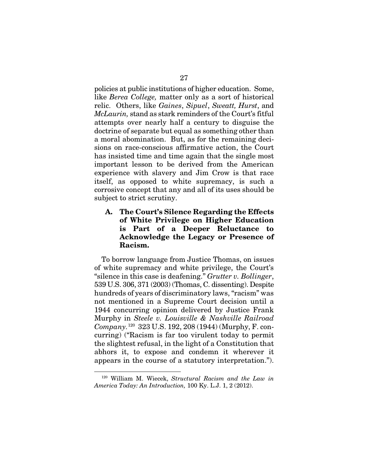policies at public institutions of higher education. Some, like *Berea College,* matter only as a sort of historical relic. Others, like *Gaines*, *Sipuel*, *Sweatt, Hurst*, and *McLaurin,* stand as stark reminders of the Court's fitful attempts over nearly half a century to disguise the doctrine of separate but equal as something other than a moral abomination. But, as for the remaining decisions on race-conscious affirmative action, the Court has insisted time and time again that the single most important lesson to be derived from the American experience with slavery and Jim Crow is that race itself, as opposed to white supremacy, is such a corrosive concept that any and all of its uses should be subject to strict scrutiny.

### A. The Court's Silence Regarding the Effects of White Privilege on Higher Education is Part of a Deeper Reluctance to Acknowledge the Legacy or Presence of Racism.

To borrow language from Justice Thomas, on issues of white supremacy and white privilege, the Court's "silence in this case is deafening." *Grutter v. Bollinger*, 539 U.S. 306, 371 (2003) (Thomas, C. dissenting). Despite hundreds of years of discriminatory laws, "racism" was not mentioned in a Supreme Court decision until a 1944 concurring opinion delivered by Justice Frank Murphy in *Steele v. Louisville & Nashville Railroad Company.*[120](#page-41-0)323 U.S. 192, 208 (1944) (Murphy, F. concurring) ("Racism is far too virulent today to permit the slightest refusal, in the light of a Constitution that abhors it, to expose and condemn it wherever it appears in the course of a statutory interpretation.").

<span id="page-41-0"></span><sup>120</sup> William M. Wiecek, *Structural Racism and the Law in America Today: An Introduction,* 100 Ky. L.J. 1, 2 (2012).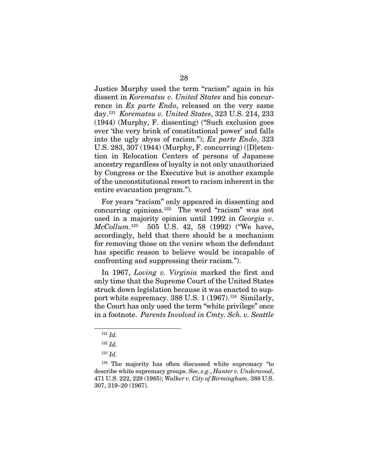Justice Murphy used the term "racism" again in his dissent in *Korematsu v. United States* and his concurrence in *Ex parte Endo*, released on the very same day.[121](#page-42-0) *Korematsu v. United States*, 323 U.S. 214, 233 (1944) (Murphy, F. dissenting) ("Such exclusion goes over 'the very brink of constitutional power' and falls into the ugly abyss of racism."); *Ex parte Endo*, 323 U.S. 283, 307 (1944) (Murphy, F. concurring) ([D]etention in Relocation Centers of persons of Japanese ancestry regardless of loyalty is not only unauthorized by Congress or the Executive but is another example of the unconstitutional resort to racism inherent in the entire evacuation program.").

For years "racism" only appeared in dissenting and concurring opinions.[122](#page-42-1) The word "racism" was not used in a majority opinion until 1992 in *Georgia v. McCollum*. 505 U.S. 42, 58 (1992) ("We have, accordingly, held that there should be a mechanism for removing those on the venire whom the defendant has specific reason to believe would be incapable of confronting and suppressing their racism.").

In 1967, *Loving v. Virginia* marked the first and only time that the Supreme Court of the United States struck down legislation because it was enacted to support white supremacy.  $388$  U.S.  $1(1967).^{124}$  $1(1967).^{124}$  $1(1967).^{124}$  Similarly, the Court has only used the term "white privilege" once in a footnote. *Parents Involved in Cmty. Sch. v. Seattle* 

<sup>121</sup> *Id.*

*<sup>122</sup> Id.* 

*<sup>123</sup> Id.*

<span id="page-42-3"></span><span id="page-42-2"></span><span id="page-42-1"></span><span id="page-42-0"></span><sup>&</sup>lt;sup>124</sup> The majority has often discussed white supremacy "to describe white supremacy groups. *See, e.g.*, *Hunter v. Underwood*, 471 U.S. 222, 229 (1985); *Walker v. City of Birmingham*, 388 U.S. 307, 319–20 (1967).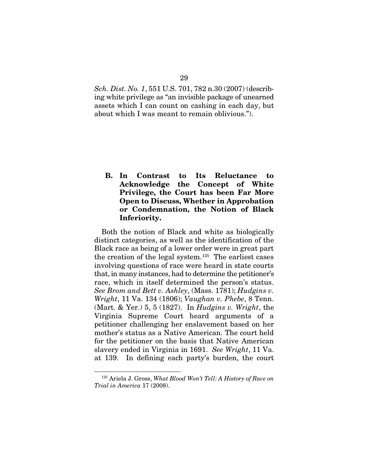*Sch. Dist. No. 1*, 551 U.S. 701, 782 n.30 (2007) (describing white privilege as "an invisible package of unearned assets which I can count on cashing in each day, but about which I was meant to remain oblivious.").

B. In Contrast to Its Reluctance to Acknowledge the Concept of White Privilege, the Court has been Far More Open to Discuss, Whether in Approbation or Condemnation, the Notion of Black Inferiority.

Both the notion of Black and white as biologically distinct categories, as well as the identification of the Black race as being of a lower order were in great part the creation of the legal system.[125](#page-43-0) The earliest cases involving questions of race were heard in state courts that, in many instances, had to determine the petitioner's race, which in itself determined the person's status. *See Brom and Bett v. Ashley*, (Mass. 1781); *Hudgins v. Wright*, 11 Va. 134 (1806); *Vaughan v. Phebe*, 8 Tenn. (Mart. & Yer.) 5, 5 (1827). In *Hudgins v. Wright*, the Virginia Supreme Court heard arguments of a petitioner challenging her enslavement based on her mother's status as a Native American. The court held for the petitioner on the basis that Native American slavery ended in Virginia in 1691. *See Wright*, 11 Va. at 139. In defining each party's burden, the court

<span id="page-43-0"></span><sup>125</sup> Ariela J. Gross, *What Blood Won't Tell: A History of Race on Trial in America* 17 (2008).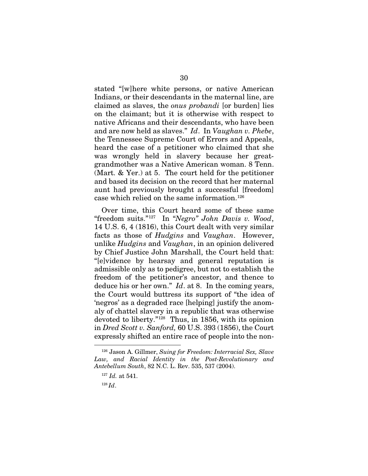stated "[w]here white persons, or native American Indians, or their descendants in the maternal line, are claimed as slaves, the *onus probandi* [or burden] lies on the claimant; but it is otherwise with respect to native Africans and their descendants, who have been and are now held as slaves." *Id*. In *Vaughan v. Phebe*, the Tennessee Supreme Court of Errors and Appeals, heard the case of a petitioner who claimed that she was wrongly held in slavery because her greatgrandmother was a Native American woman. 8 Tenn. (Mart. & Yer.) at 5. The court held for the petitioner and based its decision on the record that her maternal aunt had previously brought a successful [freedom] case which relied on the same information.<sup>[126](#page-44-0)</sup>

Over time, this Court heard some of these same "freedom suits."[127](#page-44-1) In "*Negro" John Davis v. Wood*, 14 U.S. 6, 4 (1816), this Court dealt with very similar facts as those of *Hudgins* and *Vaughan*. However, unlike *Hudgins* and *Vaughan*, in an opinion delivered by Chief Justice John Marshall, the Court held that: "[e]vidence by hearsay and general reputation is admissible only as to pedigree, but not to establish the freedom of the petitioner's ancestor, and thence to deduce his or her own." *Id*. at 8. In the coming years, the Court would buttress its support of "the idea of 'negros' as a degraded race [helping] justify the anomaly of chattel slavery in a republic that was otherwise devoted to liberty."[128](#page-44-2) Thus, in 1856, with its opinion in *Dred Scott v. Sanford,* 60 U.S. 393 (1856), the Court expressly shifted an entire race of people into the non-

<span id="page-44-2"></span><span id="page-44-1"></span><span id="page-44-0"></span><sup>126</sup> Jason A. Gillmer, *Suing for Freedom: Interracial Sex, Slave Law, and Racial Identity in the Post-Revolutionary and Antebellum South*, 82 N.C. L. Rev. 535, 537 (2004).

<sup>127</sup> *Id.* at 541.

<sup>128</sup> *Id*.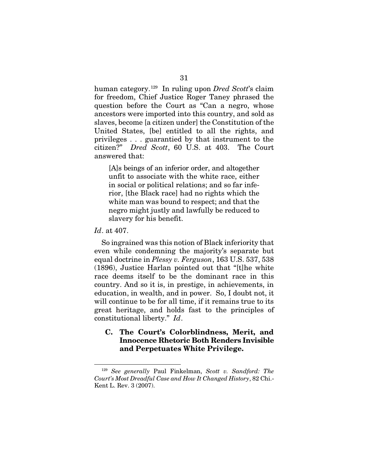human category.[129](#page-45-0) In ruling upon *Dred Scott*'s claim for freedom, Chief Justice Roger Taney phrased the question before the Court as "Can a negro, whose ancestors were imported into this country, and sold as slaves, become [a citizen under] the Constitution of the United States, [be] entitled to all the rights, and privileges . . . guarantied by that instrument to the citizen?" *Dred Scott*, 60 U.S. at 403. The Court answered that:

[A]s beings of an inferior order, and altogether unfit to associate with the white race, either in social or political relations; and so far inferior, [the Black race] had no rights which the white man was bound to respect; and that the negro might justly and lawfully be reduced to slavery for his benefit.

#### *Id*. at 407.

1

So ingrained was this notion of Black inferiority that even while condemning the majority's separate but equal doctrine in *Plessy v. Ferguson*, 163 U.S. 537, 538 (1896), Justice Harlan pointed out that "[t]he white race deems itself to be the dominant race in this country. And so it is, in prestige, in achievements, in education, in wealth, and in power. So, I doubt not, it will continue to be for all time, if it remains true to its great heritage, and holds fast to the principles of constitutional liberty." *Id*.

#### C. The Court's Colorblindness, Merit, and Innocence Rhetoric Both Renders Invisible and Perpetuates White Privilege.

<span id="page-45-0"></span><sup>129</sup> *See generally* Paul Finkelman, *Scott v. Sandford: The Court's Most Dreadful Case and How It Changed History*, 82 Chi.- Kent L. Rev. 3 (2007).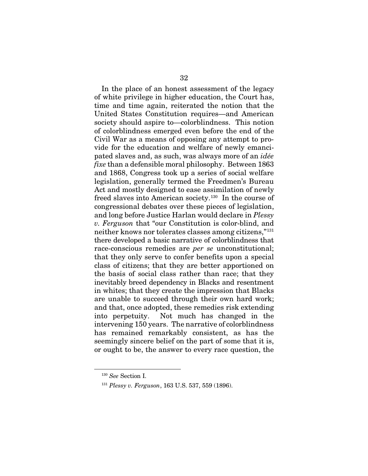In the place of an honest assessment of the legacy of white privilege in higher education, the Court has, time and time again, reiterated the notion that the United States Constitution requires—and American society should aspire to—colorblindness. This notion of colorblindness emerged even before the end of the Civil War as a means of opposing any attempt to provide for the education and welfare of newly emancipated slaves and, as such, was always more of an *idée fixe* than a defensible moral philosophy. Between 1863 and 1868, Congress took up a series of social welfare legislation, generally termed the Freedmen's Bureau Act and mostly designed to ease assimilation of newly freed slaves into American society.[130](#page-46-0) In the course of congressional debates over these pieces of legislation, and long before Justice Harlan would declare in *Plessy v. Ferguson* that "our Constitution is color-blind, and neither knows nor tolerates classes among citizens,"[131](#page-46-1) there developed a basic narrative of colorblindness that race-conscious remedies are *per se* unconstitutional; that they only serve to confer benefits upon a special class of citizens; that they are better apportioned on the basis of social class rather than race; that they inevitably breed dependency in Blacks and resentment in whites; that they create the impression that Blacks are unable to succeed through their own hard work; and that, once adopted, these remedies risk extending into perpetuity. Not much has changed in the intervening 150 years. The narrative of colorblindness has remained remarkably consistent, as has the seemingly sincere belief on the part of some that it is, or ought to be, the answer to every race question, the

<span id="page-46-1"></span><span id="page-46-0"></span><sup>130</sup> *See* Section I.

<sup>131</sup> *Plessy v. Ferguson*, 163 U.S. 537, 559 (1896).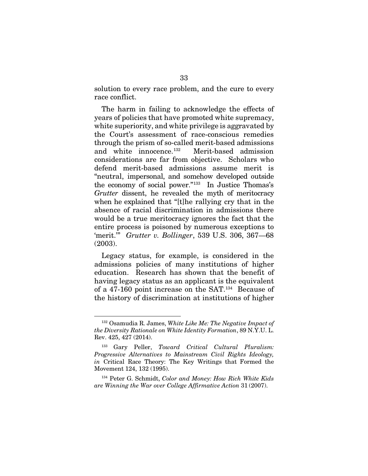solution to every race problem, and the cure to every race conflict.

The harm in failing to acknowledge the effects of years of policies that have promoted white supremacy, white superiority, and white privilege is aggravated by the Court's assessment of race-conscious remedies through the prism of so-called merit-based admissions and white innocence.[132](#page-47-0) Merit-based admission considerations are far from objective. Scholars who defend merit-based admissions assume merit is "neutral, impersonal, and somehow developed outside the economy of social power."[133](#page-47-1) In Justice Thomas's *Grutter* dissent, he revealed the myth of meritocracy when he explained that "[t]he rallying cry that in the absence of racial discrimination in admissions there would be a true meritocracy ignores the fact that the entire process is poisoned by numerous exceptions to 'merit.'" *Grutter v. Bollinger*, 539 U.S. 306, 367—68 (2003).

Legacy status, for example, is considered in the admissions policies of many institutions of higher education. Research has shown that the benefit of having legacy status as an applicant is the equivalent of a 47-160 point increase on the SAT[.134](#page-47-2) Because of the history of discrimination at institutions of higher

-

<span id="page-47-2"></span><sup>134</sup> Peter G. Schmidt, *Color and Money: How Rich White Kids are Winning the War over College Affirmative Action* 31 (2007).

<span id="page-47-0"></span><sup>132</sup> Osamudia R. James, *White Like Me: The Negative Impact of the Diversity Rationale on White Identity Formation*, 89 N.Y.U. L. Rev. 425, 427 (2014).

<span id="page-47-1"></span><sup>133</sup> Gary Peller, *Toward Critical Cultural Pluralism: Progressive Alternatives to Mainstream Civil Rights Ideology, in* Critical Race Theory: The Key Writings that Formed the Movement 124, 132 (1995).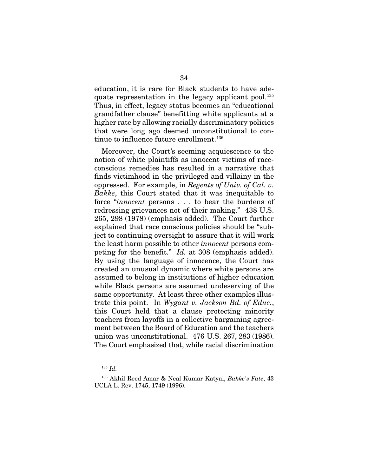education, it is rare for Black students to have adequate representation in the legacy applicant pool.<sup>135</sup> Thus, in effect, legacy status becomes an "educational grandfather clause" benefitting white applicants at a higher rate by allowing racially discriminatory policies that were long ago deemed unconstitutional to con-tinue to influence future enrollment.<sup>[136](#page-48-1)</sup>

Moreover, the Court's seeming acquiescence to the notion of white plaintiffs as innocent victims of raceconscious remedies has resulted in a narrative that finds victimhood in the privileged and villainy in the oppressed. For example, in *Regents of Univ. of Cal. v. Bakke*, this Court stated that it was inequitable to force "*innocent* persons . . . to bear the burdens of redressing grievances not of their making." 438 U.S. 265, 298 (1978) (emphasis added). The Court further explained that race conscious policies should be "subject to continuing oversight to assure that it will work the least harm possible to other *innocent* persons competing for the benefit." *Id.* at 308 (emphasis added). By using the language of innocence, the Court has created an unusual dynamic where white persons are assumed to belong in institutions of higher education while Black persons are assumed undeserving of the same opportunity. At least three other examples illustrate this point. In *Wygant v. Jackson Bd. of Educ.*, this Court held that a clause protecting minority teachers from layoffs in a collective bargaining agreement between the Board of Education and the teachers union was unconstitutional. 476 U.S. 267, 283 (1986). The Court emphasized that, while racial discrimination

<sup>135</sup> *Id.*

<span id="page-48-1"></span><span id="page-48-0"></span><sup>136</sup> Akhil Reed Amar & Neal Kumar Katyal, *Bakke's Fate*, 43 UCLA L. Rev. 1745, 1749 (1996).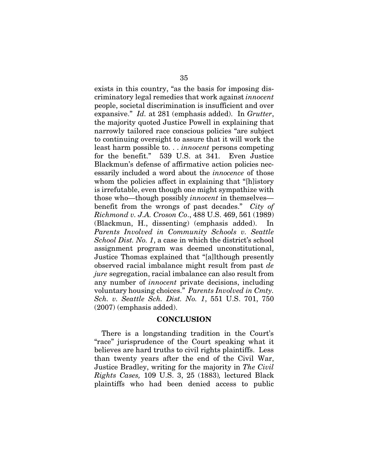exists in this country, "as the basis for imposing discriminatory legal remedies that work against *innocent*  people, societal discrimination is insufficient and over expansive." *Id.* at 281 (emphasis added). In *Grutter*, the majority quoted Justice Powell in explaining that narrowly tailored race conscious policies "are subject to continuing oversight to assure that it will work the least harm possible to. . . *innocent* persons competing for the benefit." 539 U.S. at 341. Even Justice Blackmun's defense of affirmative action policies necessarily included a word about the *innocence* of those whom the policies affect in explaining that "[h]istory is irrefutable, even though one might sympathize with those who—though possibly *innocent* in themselves benefit from the wrongs of past decades." *City of Richmond v. J.A. Croson Co*., 488 U.S. 469, 561 (1989) (Blackmun, H., dissenting) (emphasis added). In *Parents Involved in Community Schools v. Seattle School Dist. No. 1*, a case in which the district's school assignment program was deemed unconstitutional, Justice Thomas explained that "[a]lthough presently observed racial imbalance might result from past *de jure* segregation, racial imbalance can also result from any number of *innocent* private decisions, including voluntary housing choices." *Parents Involved in Cmty. Sch. v. Seattle Sch. Dist. No. 1*, 551 U.S. 701, 750 (2007) (emphasis added).

#### **CONCLUSION**

There is a longstanding tradition in the Court's "race" jurisprudence of the Court speaking what it believes are hard truths to civil rights plaintiffs. Less than twenty years after the end of the Civil War, Justice Bradley, writing for the majority in *The Civil Rights Cases,* 109 U.S. 3, 25 (1883)*,* lectured Black plaintiffs who had been denied access to public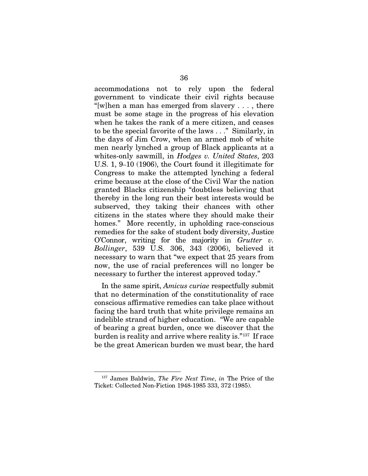accommodations not to rely upon the federal government to vindicate their civil rights because "[w]hen a man has emerged from slavery  $\dots$ , there must be some stage in the progress of his elevation when he takes the rank of a mere citizen, and ceases to be the special favorite of the laws . . ." Similarly, in the days of Jim Crow, when an armed mob of white men nearly lynched a group of Black applicants at a whites-only sawmill, in *Hodges v. United States*, 203 U.S. 1, 9–10 (1906), the Court found it illegitimate for Congress to make the attempted lynching a federal crime because at the close of the Civil War the nation granted Blacks citizenship "doubtless believing that thereby in the long run their best interests would be subserved, they taking their chances with other citizens in the states where they should make their homes." More recently, in upholding race-conscious remedies for the sake of student body diversity, Justice O'Connor, writing for the majority in *Grutter v. Bollinger*, 539 U.S. 306, 343 (2006), believed it necessary to warn that "we expect that 25 years from now, the use of racial preferences will no longer be necessary to further the interest approved today."

In the same spirit, *Amicus curiae* respectfully submit that no determination of the constitutionality of race conscious affirmative remedies can take place without facing the hard truth that white privilege remains an indelible strand of higher education. "We are capable of bearing a great burden, once we discover that the burden is reality and arrive where reality is."[137](#page-50-0) If race be the great American burden we must bear, the hard

<span id="page-50-0"></span><sup>137</sup> James Baldwin, *The Fire Next Time*, *in* The Price of the Ticket: Collected Non-Fiction 1948-1985 333, 372 (1985).